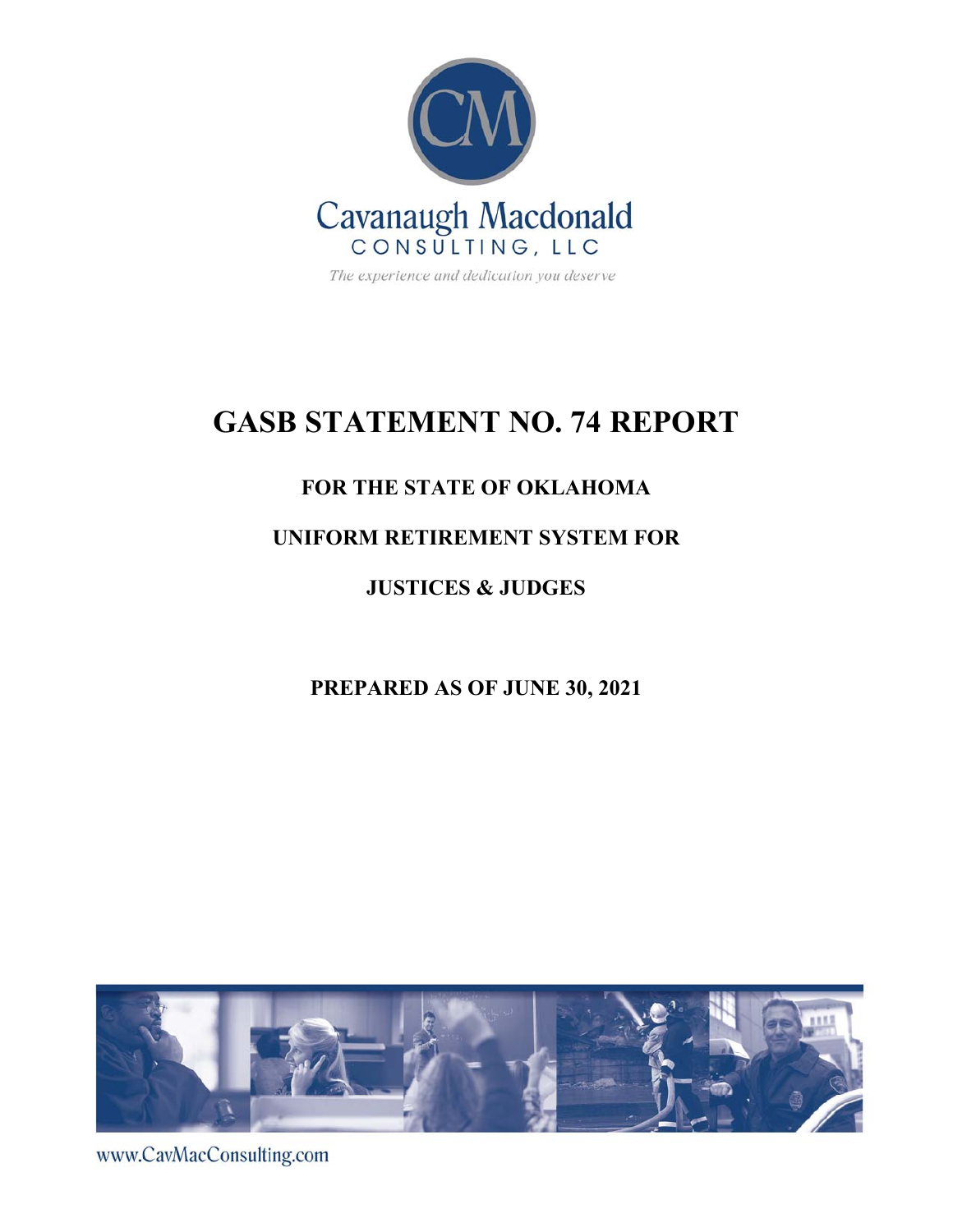

# **GASB STATEMENT NO. 74 REPORT**

## **FOR THE STATE OF OKLAHOMA**

## **UNIFORM RETIREMENT SYSTEM FOR**

**JUSTICES & JUDGES** 

**PREPARED AS OF JUNE 30, 2021** 



www.CavMacConsulting.com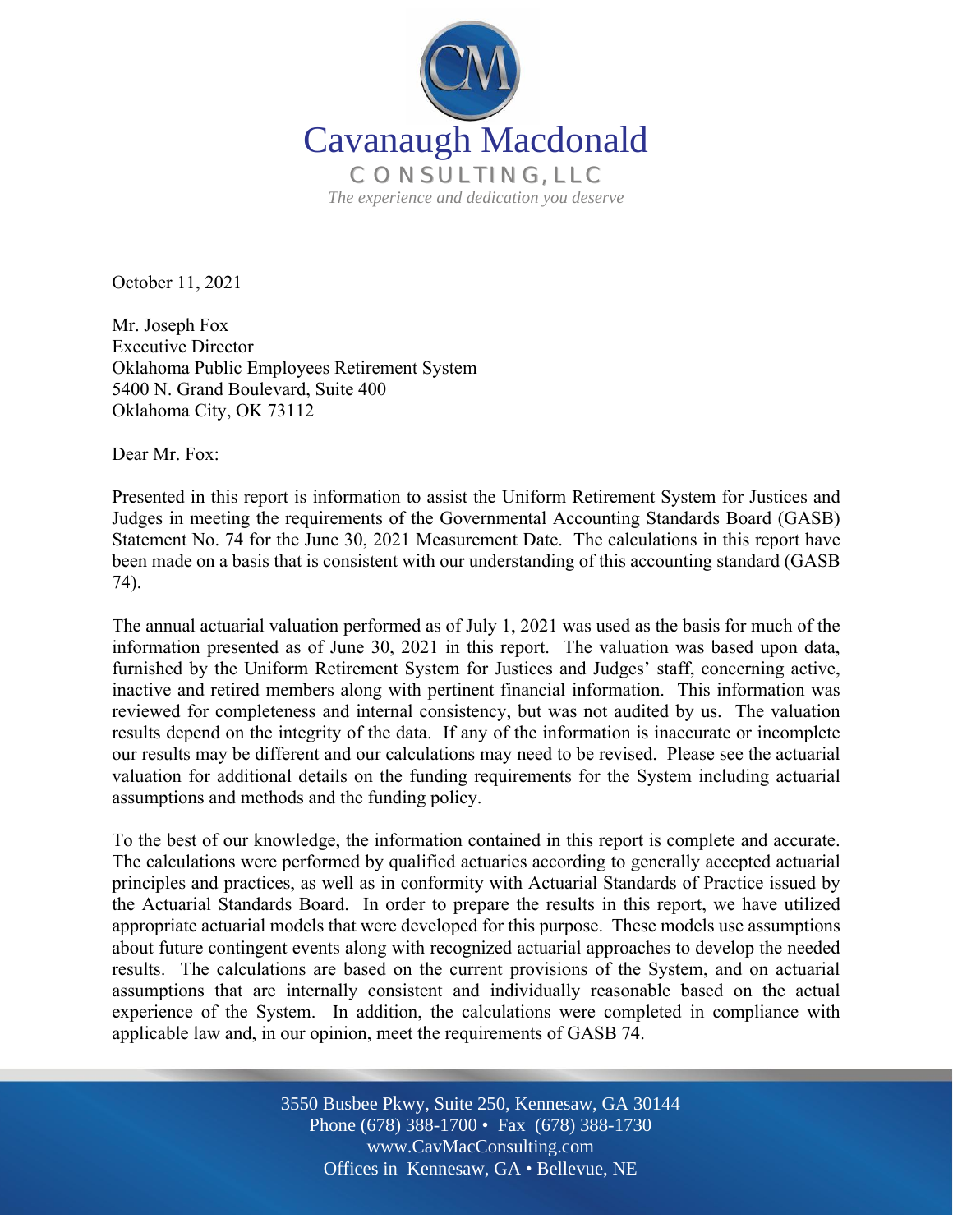

October 11, 2021

Mr. Joseph Fox Executive Director Oklahoma Public Employees Retirement System 5400 N. Grand Boulevard, Suite 400 Oklahoma City, OK 73112

Dear Mr. Fox:

l

Presented in this report is information to assist the Uniform Retirement System for Justices and Judges in meeting the requirements of the Governmental Accounting Standards Board (GASB) Statement No. 74 for the June 30, 2021 Measurement Date. The calculations in this report have been made on a basis that is consistent with our understanding of this accounting standard (GASB 74).

The annual actuarial valuation performed as of July 1, 2021 was used as the basis for much of the information presented as of June 30, 2021 in this report. The valuation was based upon data, furnished by the Uniform Retirement System for Justices and Judges' staff, concerning active, inactive and retired members along with pertinent financial information. This information was reviewed for completeness and internal consistency, but was not audited by us. The valuation results depend on the integrity of the data. If any of the information is inaccurate or incomplete our results may be different and our calculations may need to be revised. Please see the actuarial valuation for additional details on the funding requirements for the System including actuarial assumptions and methods and the funding policy.

To the best of our knowledge, the information contained in this report is complete and accurate. The calculations were performed by qualified actuaries according to generally accepted actuarial principles and practices, as well as in conformity with Actuarial Standards of Practice issued by the Actuarial Standards Board. In order to prepare the results in this report, we have utilized appropriate actuarial models that were developed for this purpose. These models use assumptions about future contingent events along with recognized actuarial approaches to develop the needed results. The calculations are based on the current provisions of the System, and on actuarial assumptions that are internally consistent and individually reasonable based on the actual experience of the System. In addition, the calculations were completed in compliance with applicable law and, in our opinion, meet the requirements of GASB 74.

> Off Offices in Kennesaw, GA • Bellevue, NE 3550 Busbee Pkwy, Suite 250, Kennesaw, GA 30144 Phone (678) 388-1700 • Fax (678) 388-1730 www.CavMacConsulting.com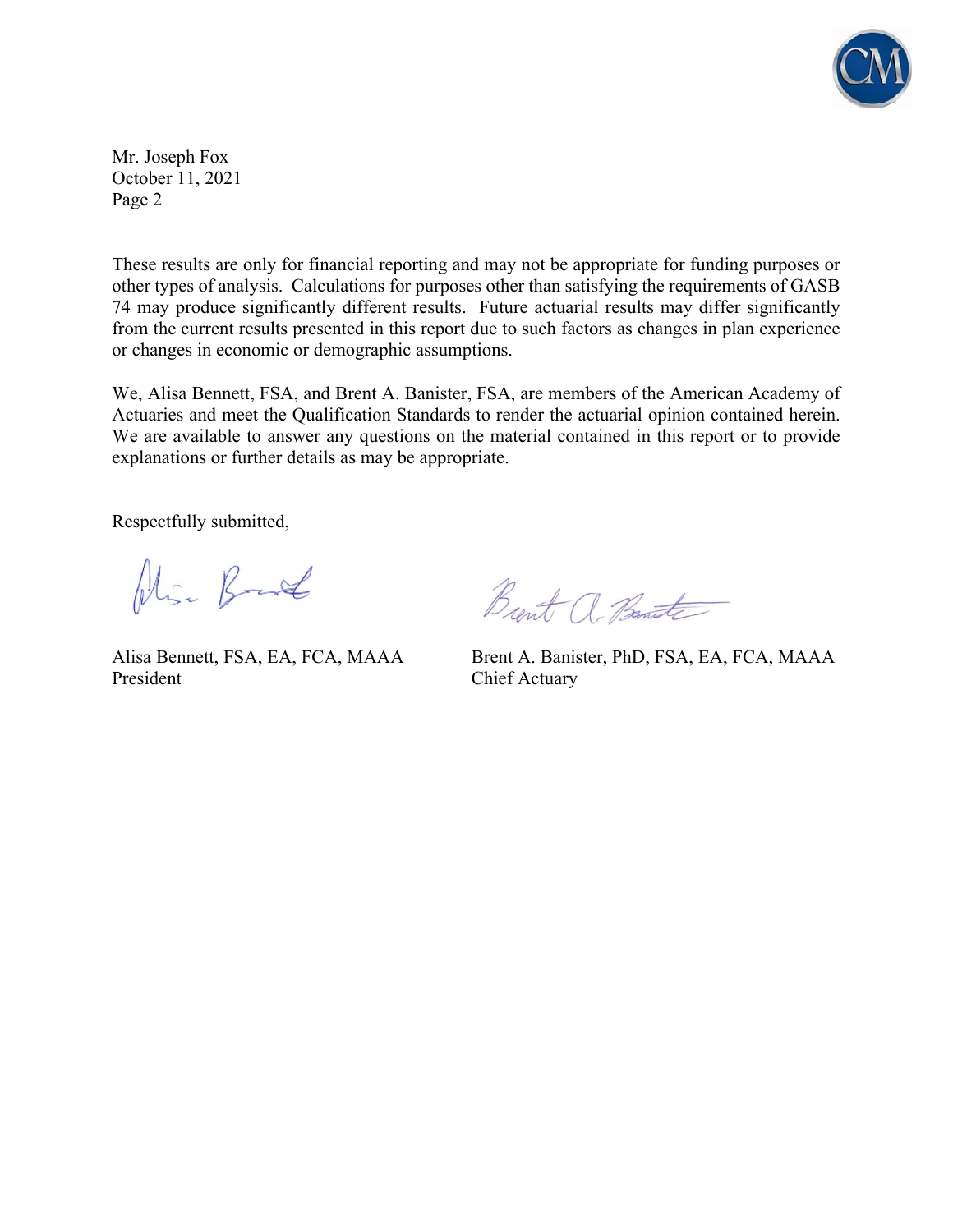

Mr. Joseph Fox October 11, 2021 Page 2

These results are only for financial reporting and may not be appropriate for funding purposes or other types of analysis. Calculations for purposes other than satisfying the requirements of GASB 74 may produce significantly different results. Future actuarial results may differ significantly from the current results presented in this report due to such factors as changes in plan experience or changes in economic or demographic assumptions.

We, Alisa Bennett, FSA, and Brent A. Banister, FSA, are members of the American Academy of Actuaries and meet the Qualification Standards to render the actuarial opinion contained herein. We are available to answer any questions on the material contained in this report or to provide explanations or further details as may be appropriate.

Respectfully submitted,

Alia Bank

President Chief Actuary

Burt a Bante

Alisa Bennett, FSA, EA, FCA, MAAA Brent A. Banister, PhD, FSA, EA, FCA, MAAA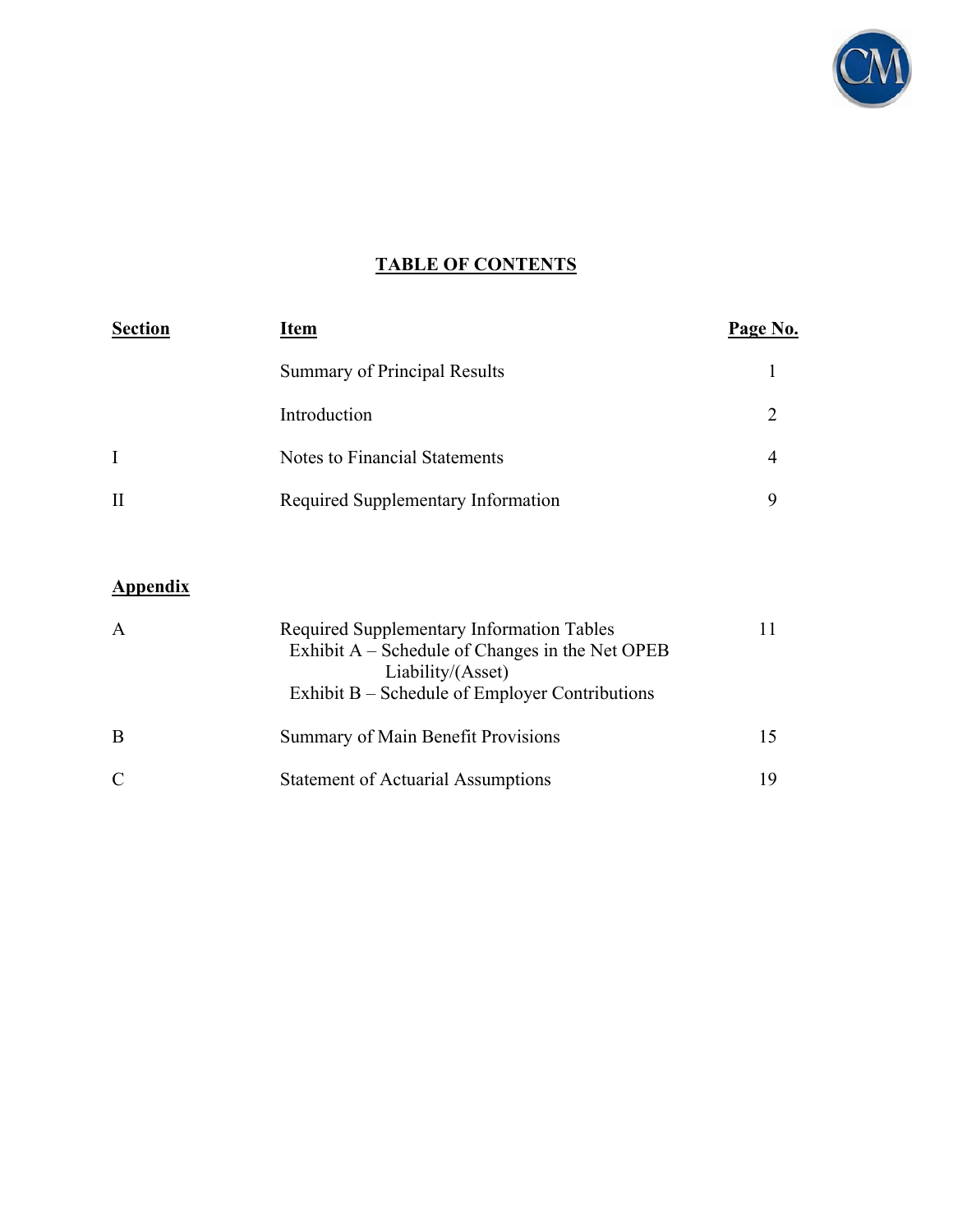

## **TABLE OF CONTENTS**

| <b>Section</b> | Item                                | Page No. |  |  |
|----------------|-------------------------------------|----------|--|--|
|                | <b>Summary of Principal Results</b> |          |  |  |
|                | Introduction                        |          |  |  |
| $\mathbf{I}$   | Notes to Financial Statements       |          |  |  |
| $\mathbf{I}$   | Required Supplementary Information  |          |  |  |

## **Appendix**

| A | Required Supplementary Information Tables<br>Exhibit $A$ – Schedule of Changes in the Net OPEB<br>Liability/(Asset)<br>Exhibit $B$ – Schedule of Employer Contributions |     |
|---|-------------------------------------------------------------------------------------------------------------------------------------------------------------------------|-----|
| B | Summary of Main Benefit Provisions                                                                                                                                      | 15. |
| C | <b>Statement of Actuarial Assumptions</b>                                                                                                                               | 19  |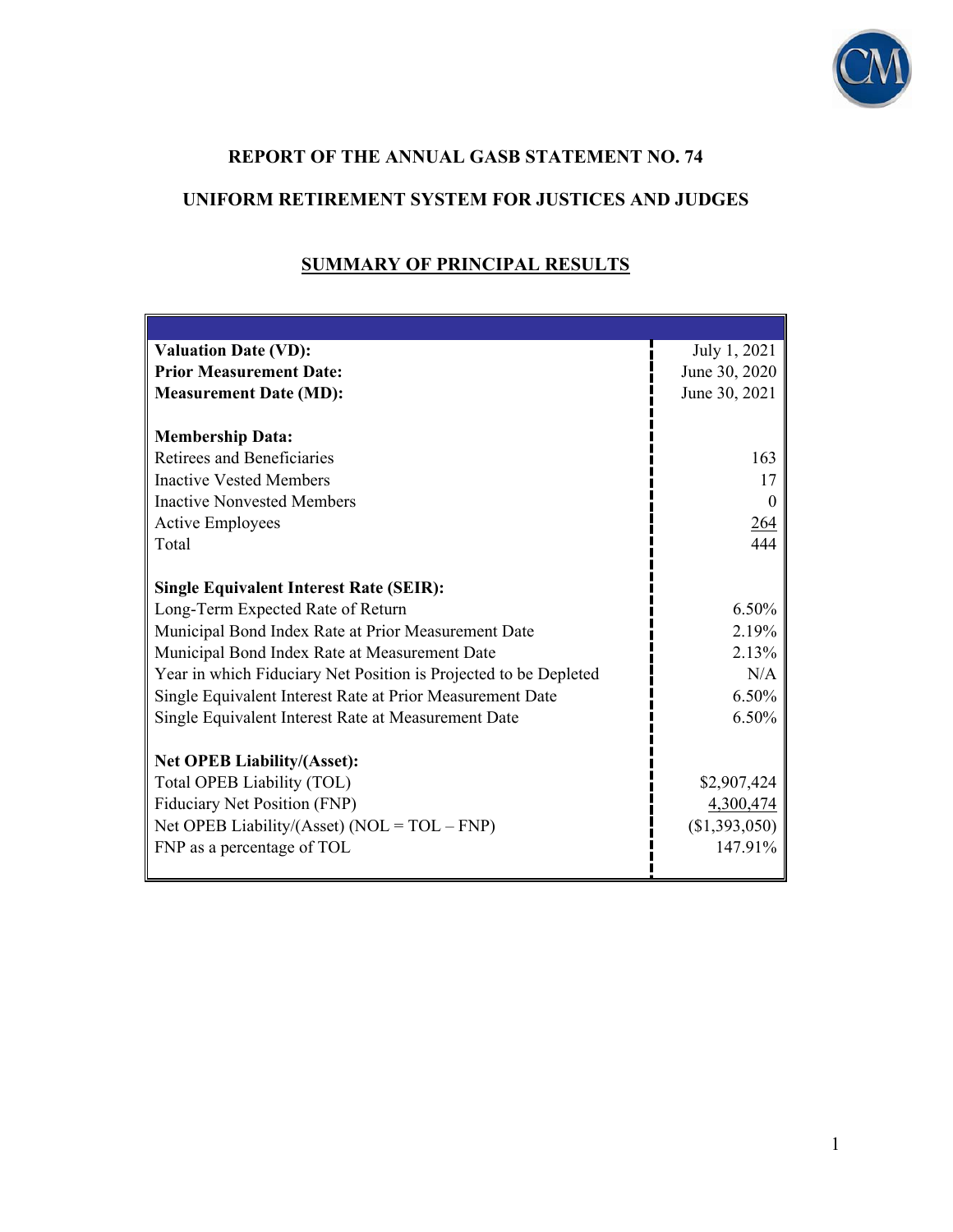

## **REPORT OF THE ANNUAL GASB STATEMENT NO. 74**

## **UNIFORM RETIREMENT SYSTEM FOR JUSTICES AND JUDGES**

| <b>Valuation Date (VD):</b>                                      | July 1, 2021  |
|------------------------------------------------------------------|---------------|
| <b>Prior Measurement Date:</b>                                   | June 30, 2020 |
| <b>Measurement Date (MD):</b>                                    | June 30, 2021 |
|                                                                  |               |
| <b>Membership Data:</b>                                          |               |
| Retirees and Beneficiaries                                       | 163           |
| <b>Inactive Vested Members</b>                                   | 17            |
| <b>Inactive Nonvested Members</b>                                | $\Omega$      |
| <b>Active Employees</b>                                          | 264           |
| Total                                                            | 444           |
|                                                                  |               |
| <b>Single Equivalent Interest Rate (SEIR):</b>                   |               |
| Long-Term Expected Rate of Return                                | 6.50%         |
| Municipal Bond Index Rate at Prior Measurement Date              | 2.19%         |
| Municipal Bond Index Rate at Measurement Date                    | 2.13%         |
| Year in which Fiduciary Net Position is Projected to be Depleted | N/A           |
| Single Equivalent Interest Rate at Prior Measurement Date        | $6.50\%$      |
| Single Equivalent Interest Rate at Measurement Date              | 6.50%         |
|                                                                  |               |
| <b>Net OPEB Liability/(Asset):</b>                               |               |
| Total OPEB Liability (TOL)                                       | \$2,907,424   |
| Fiduciary Net Position (FNP)                                     | 4,300,474     |
| Net OPEB Liability/(Asset) ( $NOL = TOL - FNP$ )                 | (\$1,393,050) |
| FNP as a percentage of TOL                                       | 147.91%       |
|                                                                  |               |

## **SUMMARY OF PRINCIPAL RESULTS**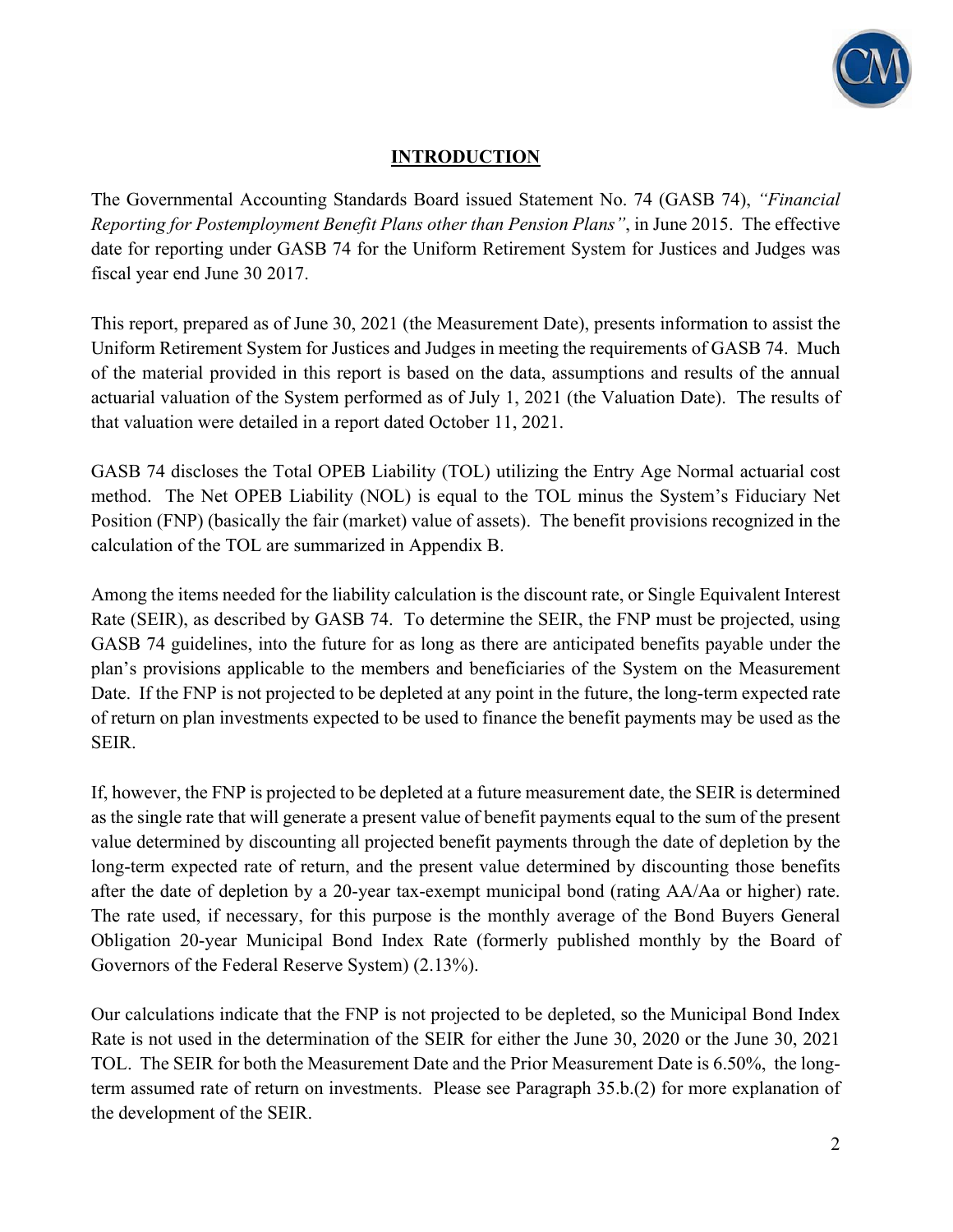

### **INTRODUCTION**

The Governmental Accounting Standards Board issued Statement No. 74 (GASB 74), *"Financial Reporting for Postemployment Benefit Plans other than Pension Plans"*, in June 2015. The effective date for reporting under GASB 74 for the Uniform Retirement System for Justices and Judges was fiscal year end June 30 2017.

This report, prepared as of June 30, 2021 (the Measurement Date), presents information to assist the Uniform Retirement System for Justices and Judges in meeting the requirements of GASB 74. Much of the material provided in this report is based on the data, assumptions and results of the annual actuarial valuation of the System performed as of July 1, 2021 (the Valuation Date). The results of that valuation were detailed in a report dated October 11, 2021.

GASB 74 discloses the Total OPEB Liability (TOL) utilizing the Entry Age Normal actuarial cost method. The Net OPEB Liability (NOL) is equal to the TOL minus the System's Fiduciary Net Position (FNP) (basically the fair (market) value of assets). The benefit provisions recognized in the calculation of the TOL are summarized in Appendix B.

Among the items needed for the liability calculation is the discount rate, or Single Equivalent Interest Rate (SEIR), as described by GASB 74. To determine the SEIR, the FNP must be projected, using GASB 74 guidelines, into the future for as long as there are anticipated benefits payable under the plan's provisions applicable to the members and beneficiaries of the System on the Measurement Date. If the FNP is not projected to be depleted at any point in the future, the long-term expected rate of return on plan investments expected to be used to finance the benefit payments may be used as the SEIR.

If, however, the FNP is projected to be depleted at a future measurement date, the SEIR is determined as the single rate that will generate a present value of benefit payments equal to the sum of the present value determined by discounting all projected benefit payments through the date of depletion by the long-term expected rate of return, and the present value determined by discounting those benefits after the date of depletion by a 20-year tax-exempt municipal bond (rating AA/Aa or higher) rate. The rate used, if necessary, for this purpose is the monthly average of the Bond Buyers General Obligation 20-year Municipal Bond Index Rate (formerly published monthly by the Board of Governors of the Federal Reserve System) (2.13%).

Our calculations indicate that the FNP is not projected to be depleted, so the Municipal Bond Index Rate is not used in the determination of the SEIR for either the June 30, 2020 or the June 30, 2021 TOL. The SEIR for both the Measurement Date and the Prior Measurement Date is 6.50%, the longterm assumed rate of return on investments. Please see Paragraph 35.b.(2) for more explanation of the development of the SEIR.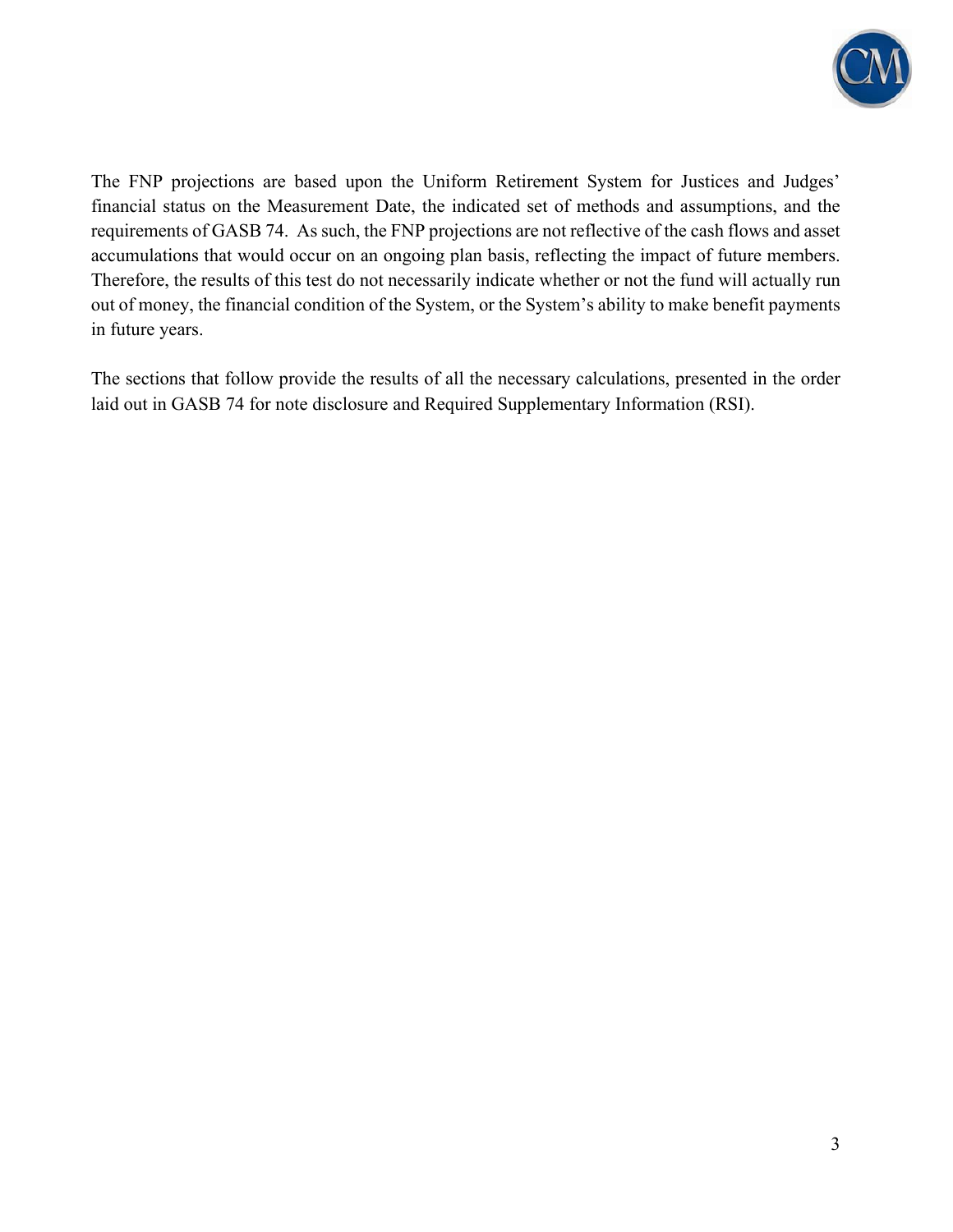

The FNP projections are based upon the Uniform Retirement System for Justices and Judges' financial status on the Measurement Date, the indicated set of methods and assumptions, and the requirements of GASB 74. As such, the FNP projections are not reflective of the cash flows and asset accumulations that would occur on an ongoing plan basis, reflecting the impact of future members. Therefore, the results of this test do not necessarily indicate whether or not the fund will actually run out of money, the financial condition of the System, or the System's ability to make benefit payments in future years.

The sections that follow provide the results of all the necessary calculations, presented in the order laid out in GASB 74 for note disclosure and Required Supplementary Information (RSI).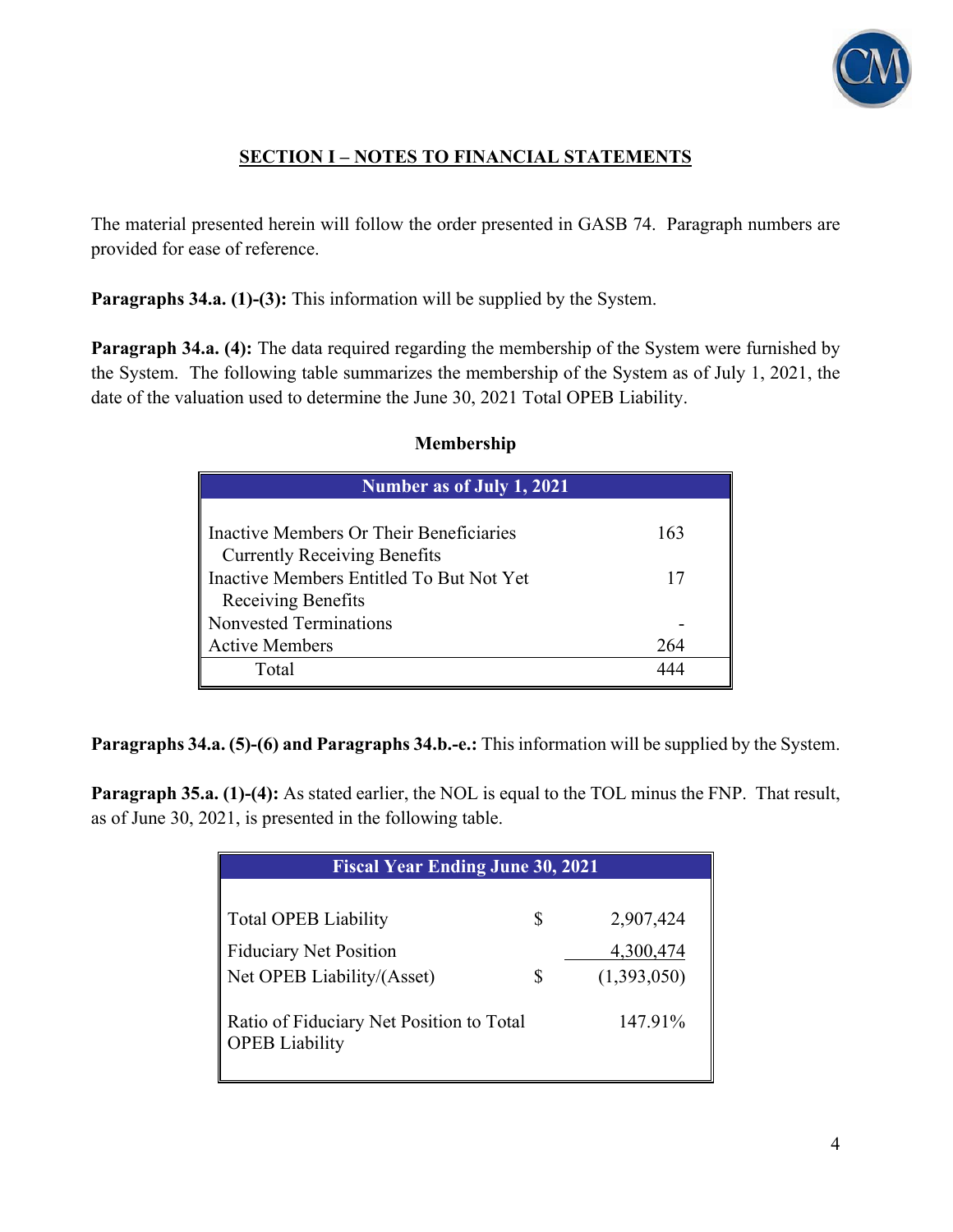

## **SECTION I – NOTES TO FINANCIAL STATEMENTS**

The material presented herein will follow the order presented in GASB 74. Paragraph numbers are provided for ease of reference.

**Paragraphs 34.a. (1)-(3):** This information will be supplied by the System.

**Paragraph 34.a. (4):** The data required regarding the membership of the System were furnished by the System. The following table summarizes the membership of the System as of July 1, 2021, the date of the valuation used to determine the June 30, 2021 Total OPEB Liability.

| Number as of July 1, 2021                |     |  |  |  |  |  |  |
|------------------------------------------|-----|--|--|--|--|--|--|
| Inactive Members Or Their Beneficiaries  | 163 |  |  |  |  |  |  |
| <b>Currently Receiving Benefits</b>      |     |  |  |  |  |  |  |
| Inactive Members Entitled To But Not Yet | 17  |  |  |  |  |  |  |
| Receiving Benefits                       |     |  |  |  |  |  |  |
| Nonvested Terminations                   |     |  |  |  |  |  |  |
| <b>Active Members</b>                    | 264 |  |  |  |  |  |  |
| Total                                    |     |  |  |  |  |  |  |

#### **Membership**

**Paragraphs 34.a. (5)-(6) and Paragraphs 34.b.-e.:** This information will be supplied by the System.

**Paragraph 35.a. (1)-(4):** As stated earlier, the NOL is equal to the TOL minus the FNP. That result, as of June 30, 2021, is presented in the following table.

| <b>Fiscal Year Ending June 30, 2021</b>                           |   |             |  |  |  |  |  |  |
|-------------------------------------------------------------------|---|-------------|--|--|--|--|--|--|
|                                                                   |   |             |  |  |  |  |  |  |
| <b>Total OPEB Liability</b>                                       | S | 2,907,424   |  |  |  |  |  |  |
| <b>Fiduciary Net Position</b>                                     |   | 4,300,474   |  |  |  |  |  |  |
| Net OPEB Liability/(Asset)                                        | S | (1,393,050) |  |  |  |  |  |  |
| Ratio of Fiduciary Net Position to Total<br><b>OPEB</b> Liability |   | 147.91%     |  |  |  |  |  |  |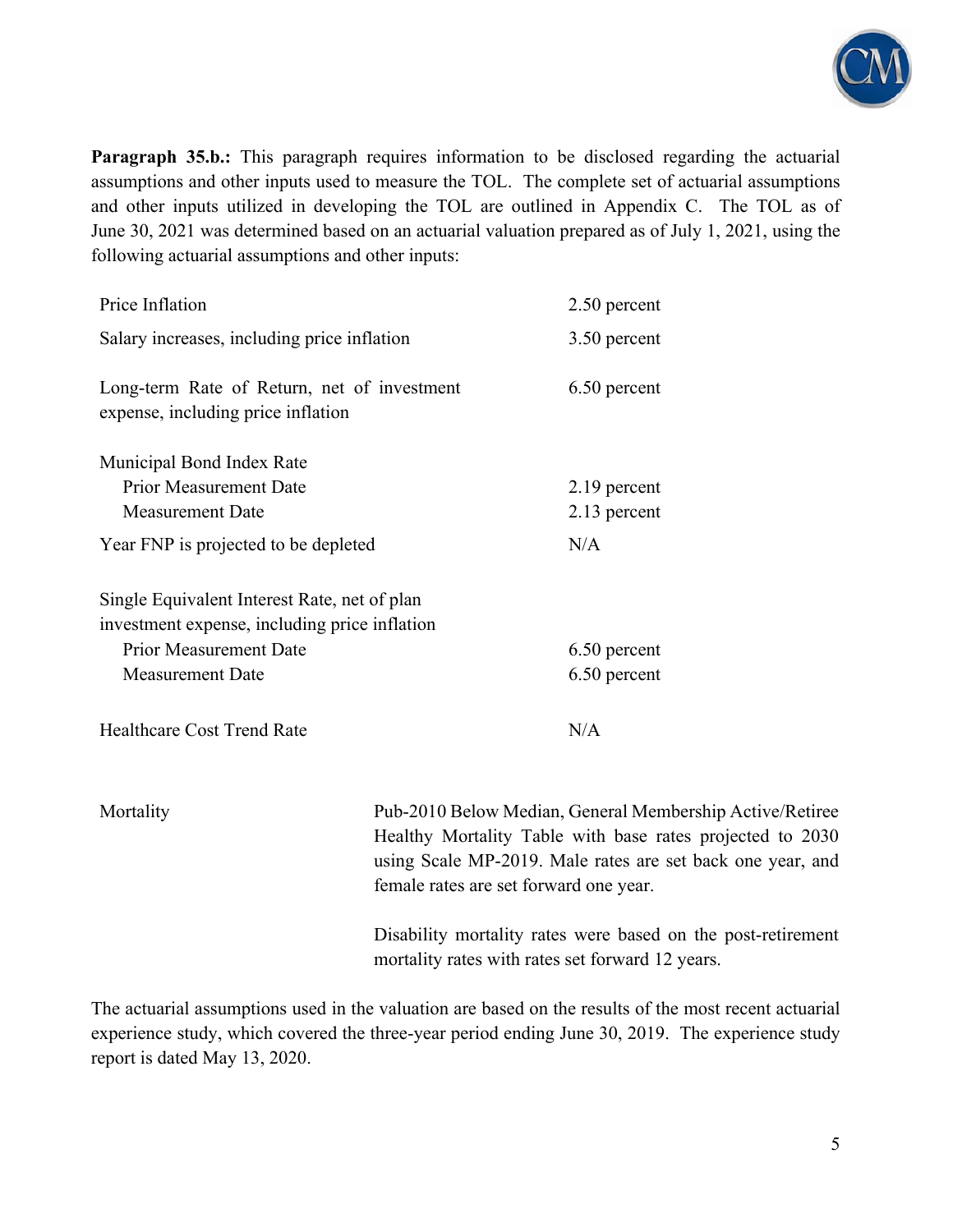

**Paragraph 35.b.:** This paragraph requires information to be disclosed regarding the actuarial assumptions and other inputs used to measure the TOL. The complete set of actuarial assumptions and other inputs utilized in developing the TOL are outlined in Appendix C. The TOL as of June 30, 2021 was determined based on an actuarial valuation prepared as of July 1, 2021, using the following actuarial assumptions and other inputs:

| Price Inflation                                                                               | 2.50 percent                        |
|-----------------------------------------------------------------------------------------------|-------------------------------------|
| Salary increases, including price inflation                                                   | 3.50 percent                        |
| Long-term Rate of Return, net of investment<br>expense, including price inflation             | 6.50 percent                        |
| Municipal Bond Index Rate                                                                     |                                     |
| <b>Prior Measurement Date</b>                                                                 | 2.19 percent                        |
| <b>Measurement Date</b>                                                                       | 2.13 percent                        |
| Year FNP is projected to be depleted                                                          | N/A                                 |
| Single Equivalent Interest Rate, net of plan<br>investment expense, including price inflation |                                     |
| <b>Prior Measurement Date</b>                                                                 | 6.50 percent                        |
| <b>Measurement Date</b>                                                                       | 6.50 percent                        |
| <b>Healthcare Cost Trend Rate</b>                                                             | N/A                                 |
| Mortality                                                                                     | Pub-2010 Below Median, General Memb |

ership Active/Retiree Healthy Mortality Table with base rates projected to 2030 using Scale MP-2019. Male rates are set back one year, and female rates are set forward one year.

> Disability mortality rates were based on the post-retirement mortality rates with rates set forward 12 years.

The actuarial assumptions used in the valuation are based on the results of the most recent actuarial experience study, which covered the three-year period ending June 30, 2019. The experience study report is dated May 13, 2020.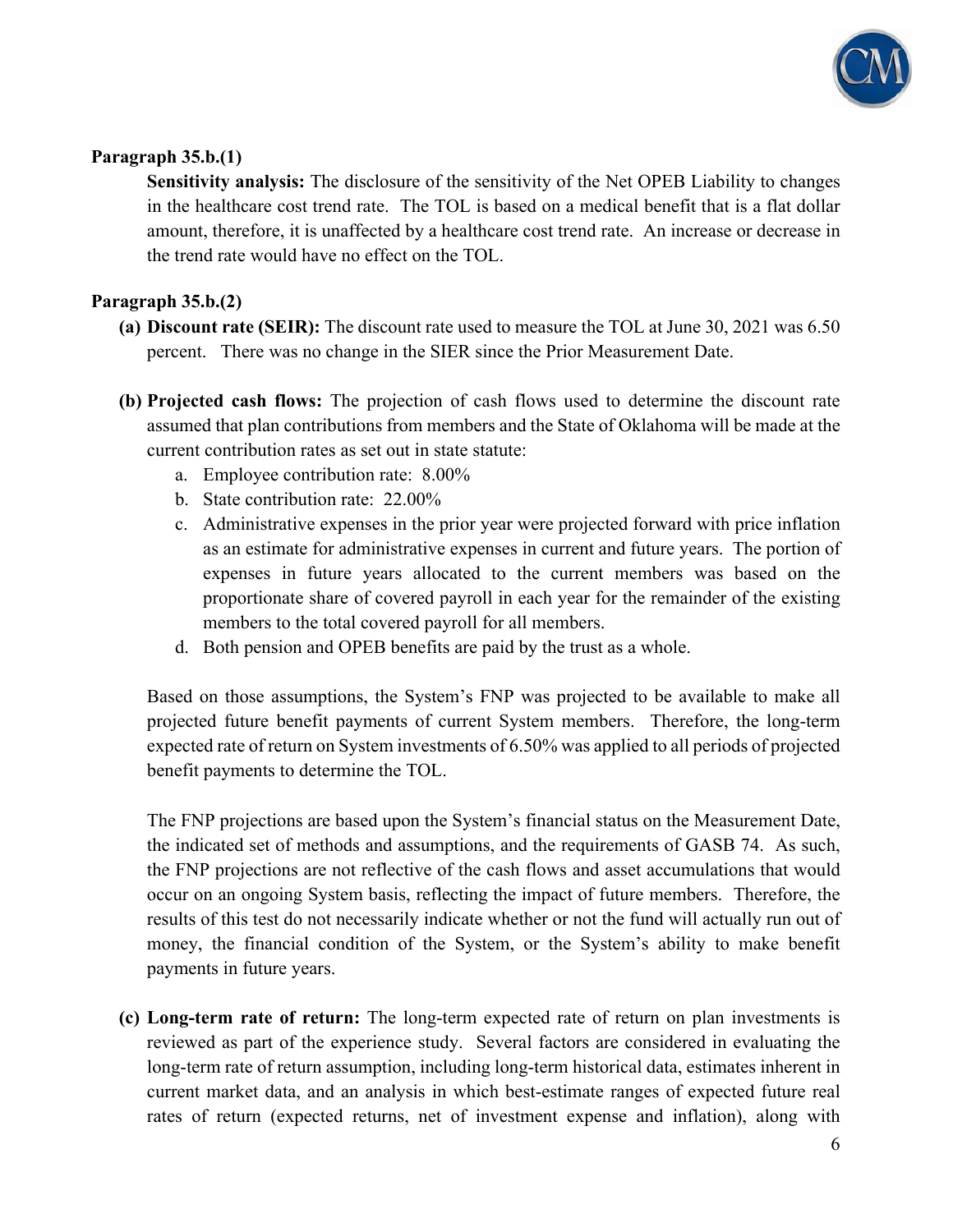

#### **Paragraph 35.b.(1)**

**Sensitivity analysis:** The disclosure of the sensitivity of the Net OPEB Liability to changes in the healthcare cost trend rate. The TOL is based on a medical benefit that is a flat dollar amount, therefore, it is unaffected by a healthcare cost trend rate. An increase or decrease in the trend rate would have no effect on the TOL.

#### **Paragraph 35.b.(2)**

- **(a) Discount rate (SEIR):** The discount rate used to measure the TOL at June 30, 2021 was 6.50 percent. There was no change in the SIER since the Prior Measurement Date.
- **(b) Projected cash flows:** The projection of cash flows used to determine the discount rate assumed that plan contributions from members and the State of Oklahoma will be made at the current contribution rates as set out in state statute:
	- a. Employee contribution rate: 8.00%
	- b. State contribution rate: 22.00%
	- c. Administrative expenses in the prior year were projected forward with price inflation as an estimate for administrative expenses in current and future years. The portion of expenses in future years allocated to the current members was based on the proportionate share of covered payroll in each year for the remainder of the existing members to the total covered payroll for all members.
	- d. Both pension and OPEB benefits are paid by the trust as a whole.

Based on those assumptions, the System's FNP was projected to be available to make all projected future benefit payments of current System members. Therefore, the long-term expected rate of return on System investments of 6.50% was applied to all periods of projected benefit payments to determine the TOL.

The FNP projections are based upon the System's financial status on the Measurement Date, the indicated set of methods and assumptions, and the requirements of GASB 74. As such, the FNP projections are not reflective of the cash flows and asset accumulations that would occur on an ongoing System basis, reflecting the impact of future members. Therefore, the results of this test do not necessarily indicate whether or not the fund will actually run out of money, the financial condition of the System, or the System's ability to make benefit payments in future years.

**(c) Long-term rate of return:** The long-term expected rate of return on plan investments is reviewed as part of the experience study. Several factors are considered in evaluating the long-term rate of return assumption, including long-term historical data, estimates inherent in current market data, and an analysis in which best-estimate ranges of expected future real rates of return (expected returns, net of investment expense and inflation), along with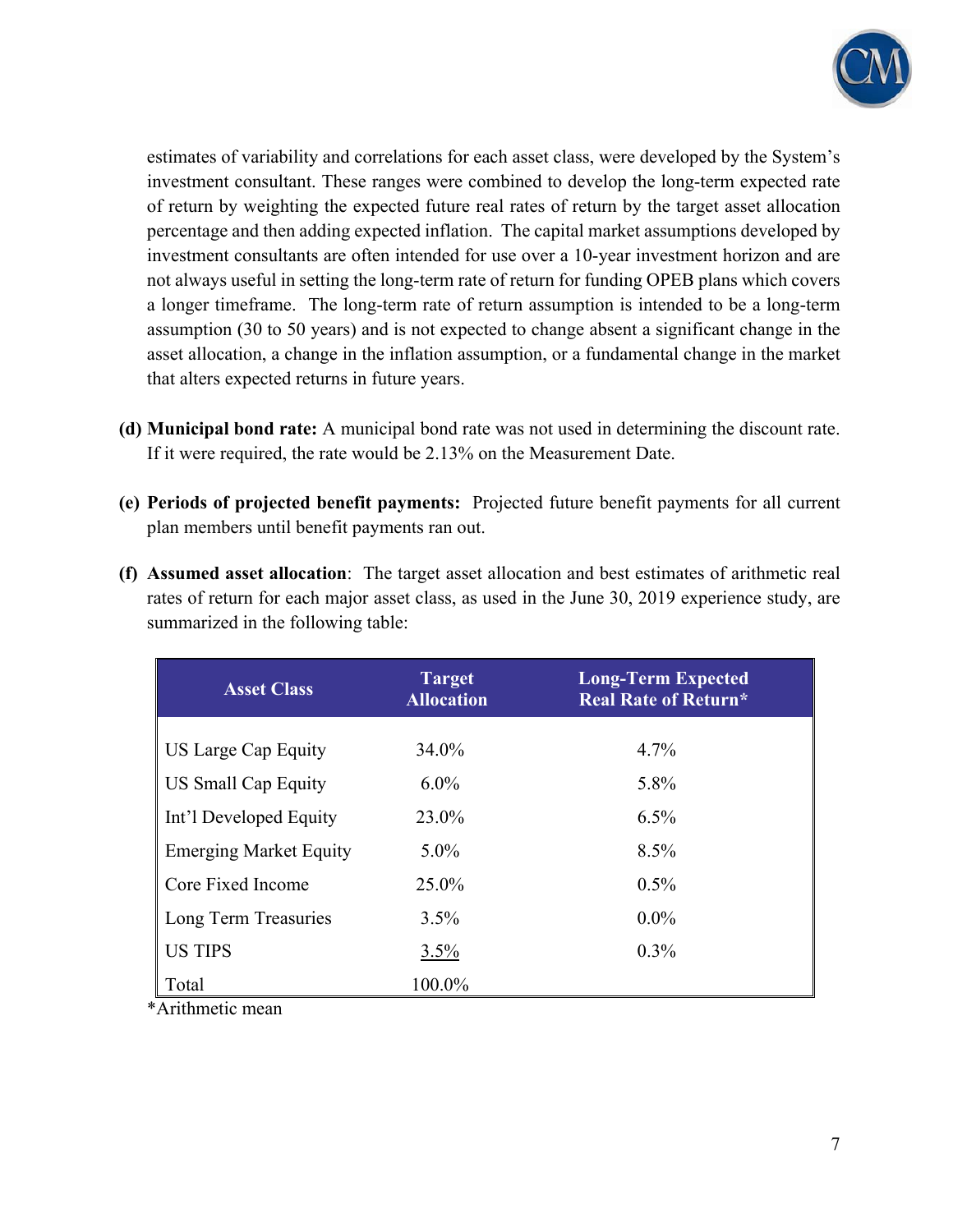

estimates of variability and correlations for each asset class, were developed by the System's investment consultant. These ranges were combined to develop the long-term expected rate of return by weighting the expected future real rates of return by the target asset allocation percentage and then adding expected inflation. The capital market assumptions developed by investment consultants are often intended for use over a 10-year investment horizon and are not always useful in setting the long-term rate of return for funding OPEB plans which covers a longer timeframe. The long-term rate of return assumption is intended to be a long-term assumption (30 to 50 years) and is not expected to change absent a significant change in the asset allocation, a change in the inflation assumption, or a fundamental change in the market that alters expected returns in future years.

- **(d) Municipal bond rate:** A municipal bond rate was not used in determining the discount rate. If it were required, the rate would be 2.13% on the Measurement Date.
- **(e) Periods of projected benefit payments:** Projected future benefit payments for all current plan members until benefit payments ran out.

|                                    | (f) Assumed asset allocation: The target asset allocation and best estimates of arithmetic real |
|------------------------------------|-------------------------------------------------------------------------------------------------|
|                                    | rates of return for each major asset class, as used in the June 30, 2019 experience study, are  |
| summarized in the following table: |                                                                                                 |

| <b>Asset Class</b>            | <b>Target</b><br><b>Allocation</b> | <b>Long-Term Expected</b><br><b>Real Rate of Return*</b> |
|-------------------------------|------------------------------------|----------------------------------------------------------|
| US Large Cap Equity           | 34.0%                              | 4.7%                                                     |
| <b>US Small Cap Equity</b>    | $6.0\%$                            | 5.8%                                                     |
| Int'l Developed Equity        | 23.0%                              | 6.5%                                                     |
| <b>Emerging Market Equity</b> | $5.0\%$                            | 8.5%                                                     |
| Core Fixed Income             | 25.0%                              | $0.5\%$                                                  |
| Long Term Treasuries          | $3.5\%$                            | $0.0\%$                                                  |
| <b>US TIPS</b>                | 3.5%                               | $0.3\%$                                                  |
| Total                         | 100.0%                             |                                                          |

\*Arithmetic mean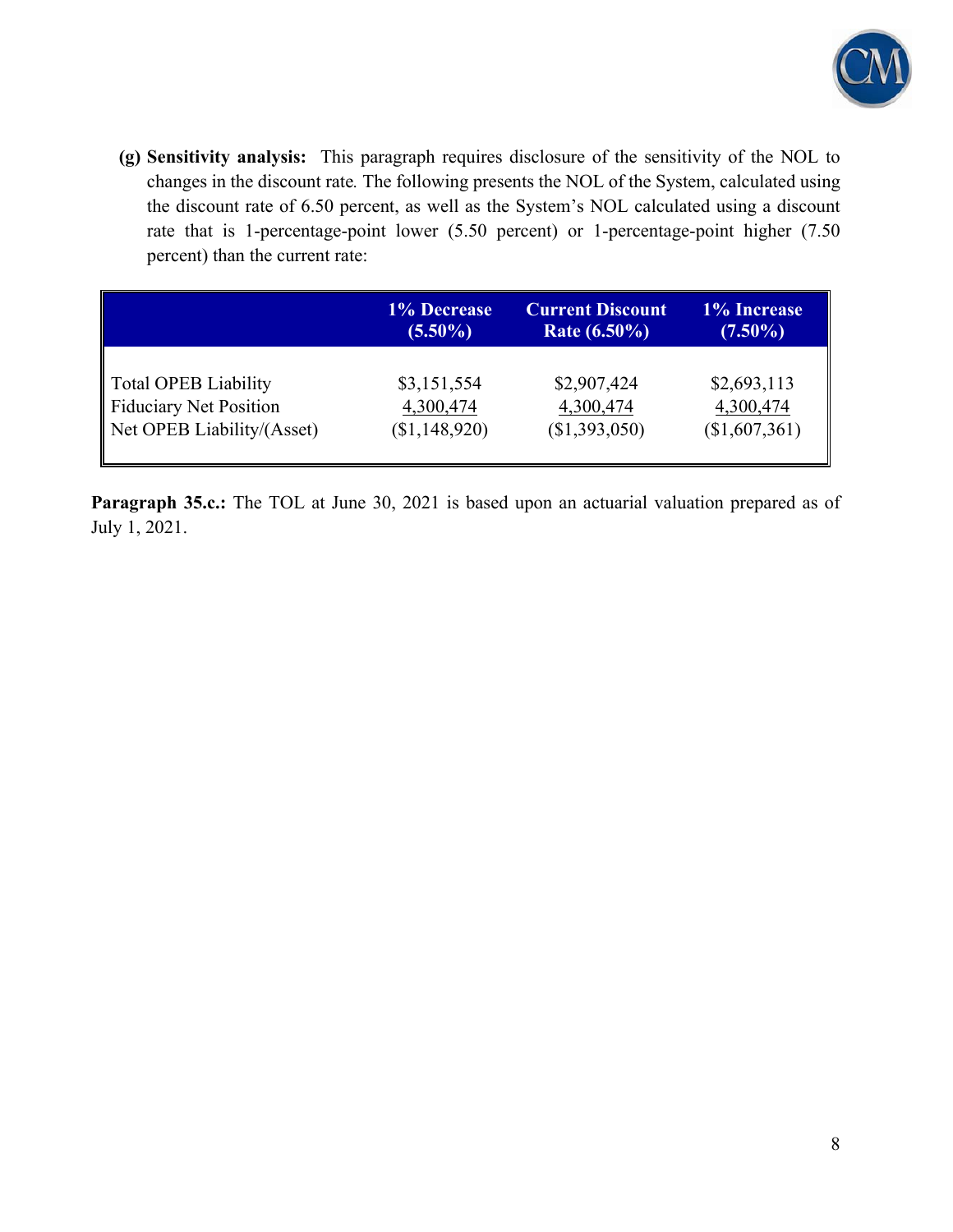

**(g) Sensitivity analysis:** This paragraph requires disclosure of the sensitivity of the NOL to changes in the discount rate*.* The following presents the NOL of the System, calculated using the discount rate of 6.50 percent, as well as the System's NOL calculated using a discount rate that is 1-percentage-point lower (5.50 percent) or 1-percentage-point higher (7.50 percent) than the current rate:

|                            | 1% Decrease   | <b>Current Discount</b> | 1% Increase   |
|----------------------------|---------------|-------------------------|---------------|
|                            | $(5.50\%)$    | Rate $(6.50\%)$         | $(7.50\%)$    |
| Total OPEB Liability       | \$3,151,554   | \$2,907,424             | \$2,693,113   |
| Fiduciary Net Position     | 4,300,474     | 4,300,474               | 4,300,474     |
| Net OPEB Liability/(Asset) | (\$1,148,920) | (\$1,393,050)           | (\$1,607,361) |

**Paragraph 35.c.:** The TOL at June 30, 2021 is based upon an actuarial valuation prepared as of July 1, 2021.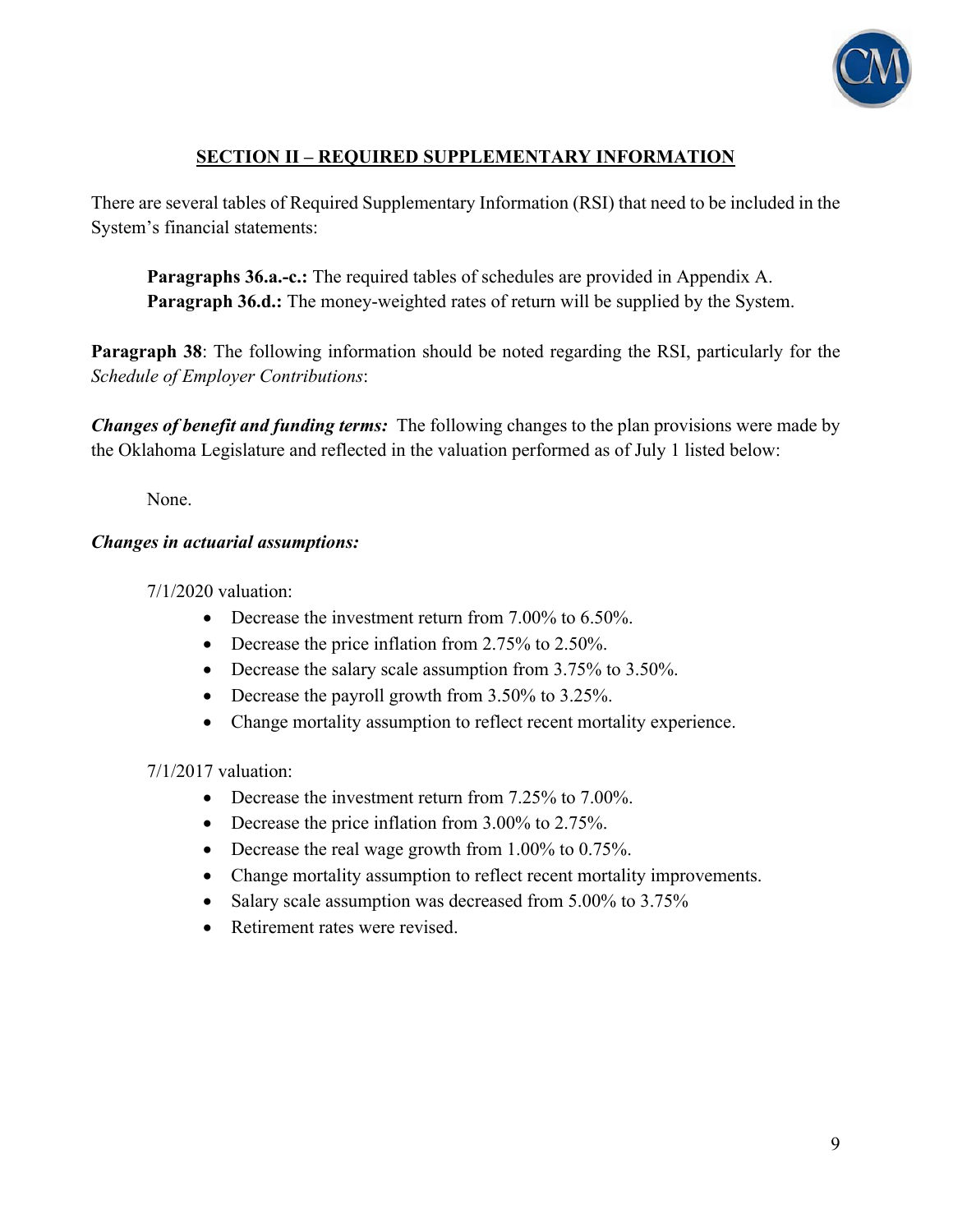

### **SECTION II – REQUIRED SUPPLEMENTARY INFORMATION**

There are several tables of Required Supplementary Information (RSI) that need to be included in the System's financial statements:

**Paragraphs 36.a.-c.:** The required tables of schedules are provided in Appendix A. **Paragraph 36.d.:** The money-weighted rates of return will be supplied by the System.

**Paragraph 38**: The following information should be noted regarding the RSI, particularly for the *Schedule of Employer Contributions*:

*Changes of benefit and funding terms:* The following changes to the plan provisions were made by the Oklahoma Legislature and reflected in the valuation performed as of July 1 listed below:

None.

#### *Changes in actuarial assumptions:*

7/1/2020 valuation:

- Decrease the investment return from 7.00% to 6.50%.
- Decrease the price inflation from 2.75% to 2.50%.
- Decrease the salary scale assumption from 3.75% to 3.50%.
- Decrease the payroll growth from 3.50% to 3.25%.
- Change mortality assumption to reflect recent mortality experience.

7/1/2017 valuation:

- Decrease the investment return from 7.25% to 7.00%.
- Decrease the price inflation from 3.00% to 2.75%.
- Decrease the real wage growth from 1.00% to 0.75%.
- Change mortality assumption to reflect recent mortality improvements.
- Salary scale assumption was decreased from 5.00% to 3.75%
- Retirement rates were revised.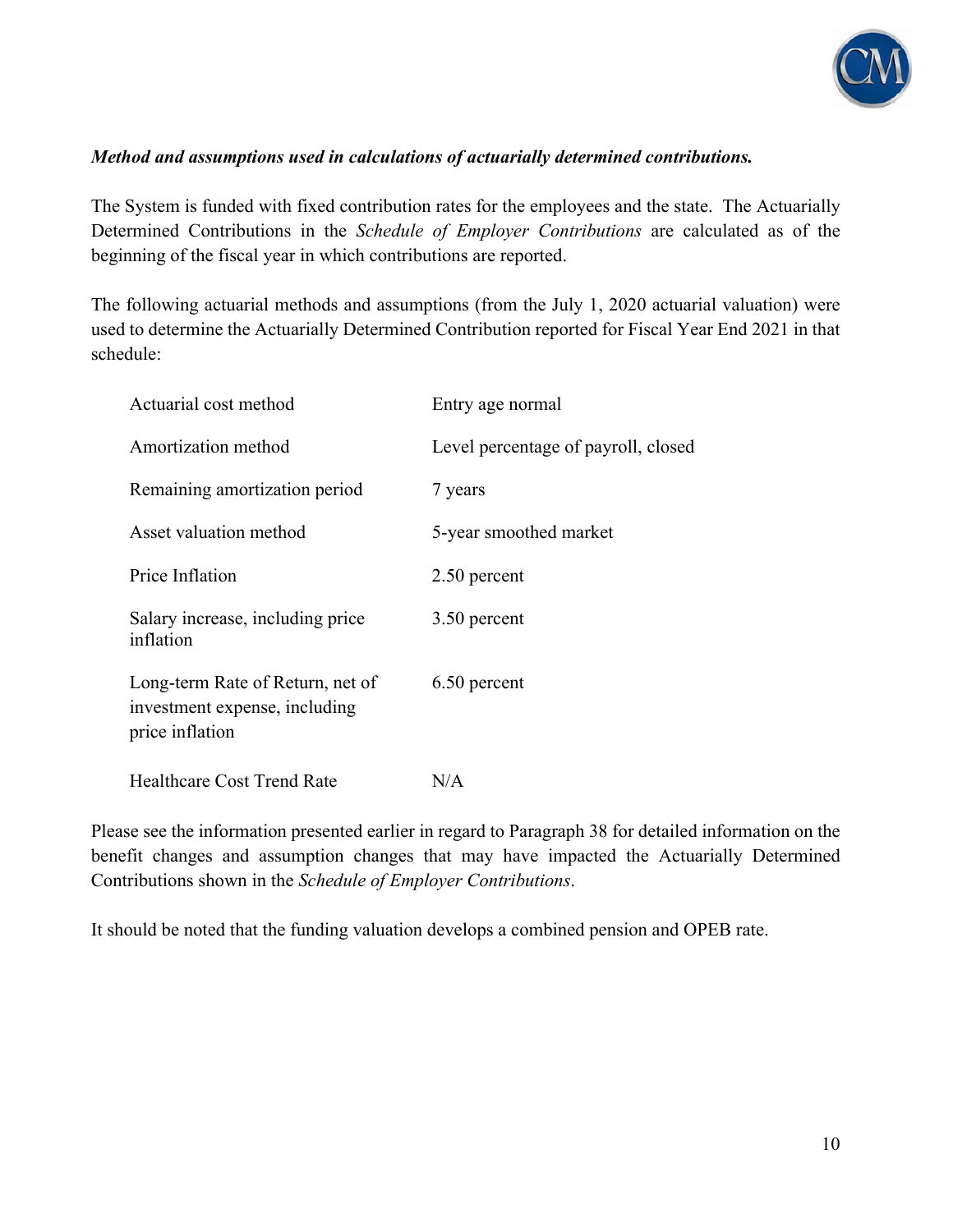

#### *Method and assumptions used in calculations of actuarially determined contributions.*

The System is funded with fixed contribution rates for the employees and the state. The Actuarially Determined Contributions in the *Schedule of Employer Contributions* are calculated as of the beginning of the fiscal year in which contributions are reported.

The following actuarial methods and assumptions (from the July 1, 2020 actuarial valuation) were used to determine the Actuarially Determined Contribution reported for Fiscal Year End 2021 in that schedule:

| Actuarial cost method                                                                | Entry age normal                    |
|--------------------------------------------------------------------------------------|-------------------------------------|
| Amortization method                                                                  | Level percentage of payroll, closed |
| Remaining amortization period                                                        | 7 years                             |
| Asset valuation method                                                               | 5-year smoothed market              |
| Price Inflation                                                                      | 2.50 percent                        |
| Salary increase, including price<br>inflation                                        | 3.50 percent                        |
| Long-term Rate of Return, net of<br>investment expense, including<br>price inflation | 6.50 percent                        |
| <b>Healthcare Cost Trend Rate</b>                                                    | N/A                                 |

Please see the information presented earlier in regard to Paragraph 38 for detailed information on the benefit changes and assumption changes that may have impacted the Actuarially Determined Contributions shown in the *Schedule of Employer Contributions*.

It should be noted that the funding valuation develops a combined pension and OPEB rate.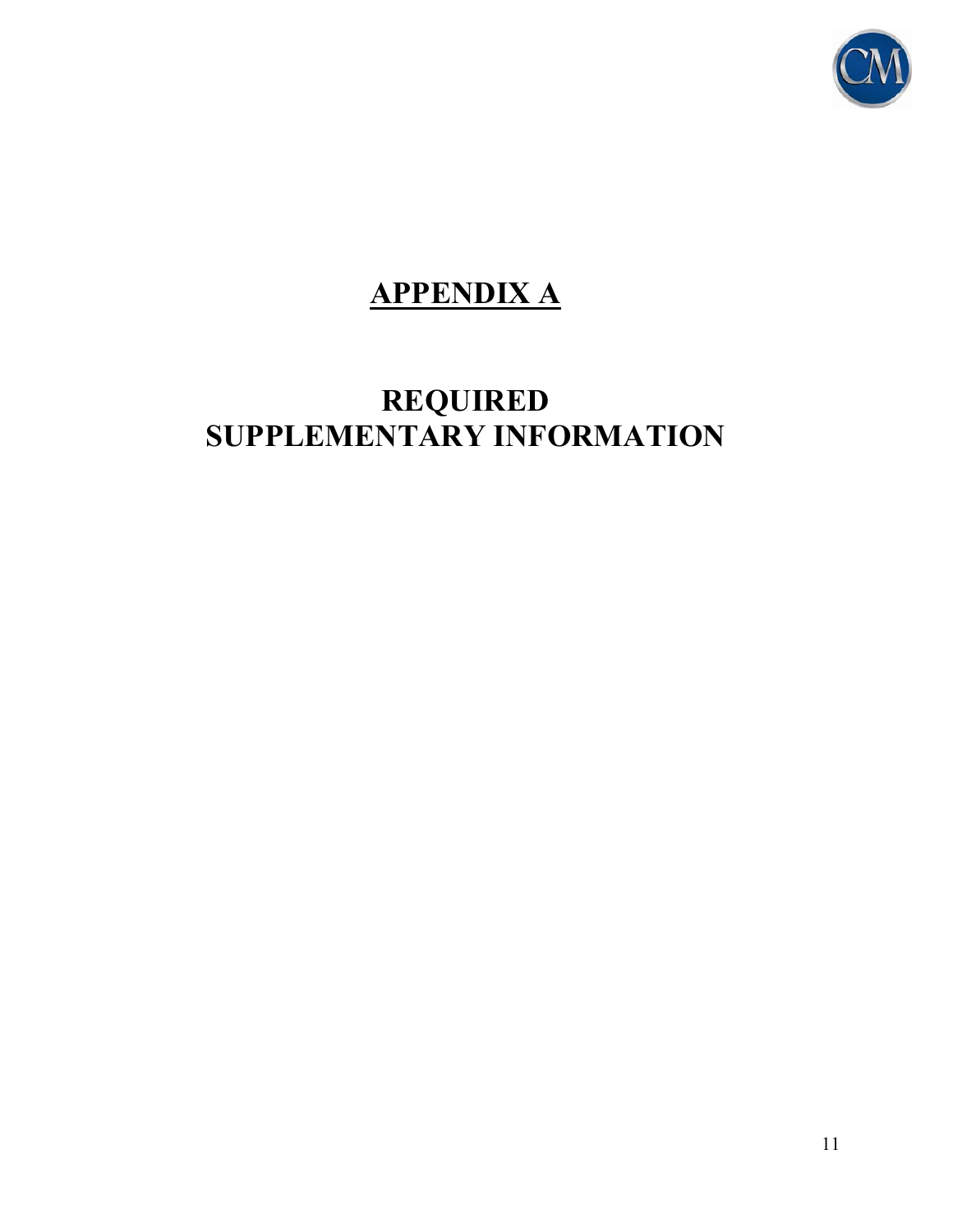

## **APPENDIX A**

## **REQUIRED SUPPLEMENTARY INFORMATION**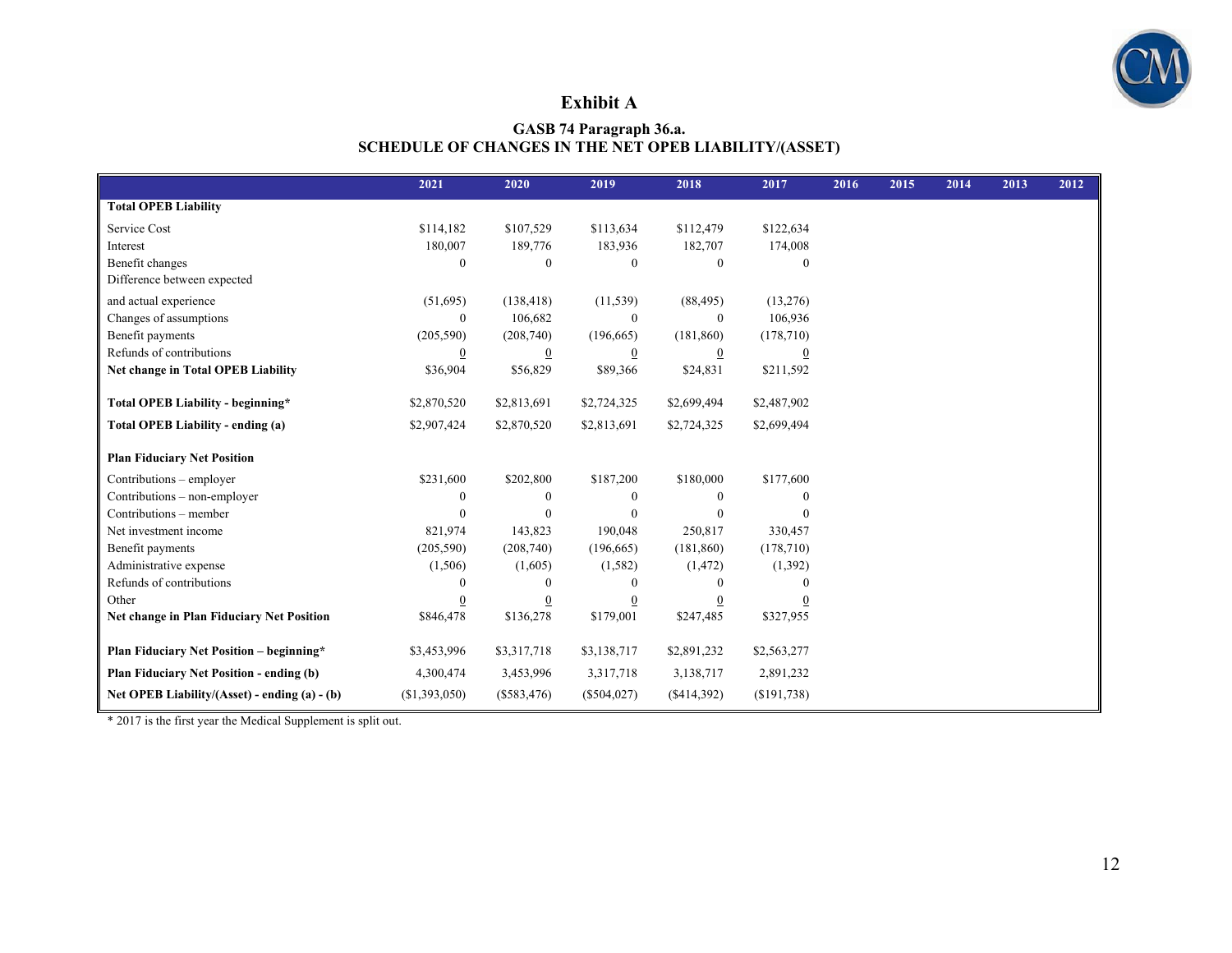

#### **Exhibit A**

#### **GASB 74 Paragraph 36.a. SCHEDULE OF CHANGES IN THE NET OPEB LIABILITY/(ASSET)**

|                                                 | 2021             | 2020             | 2019             | 2018           | 2017        | 2016 | 2015 | 2014 | 2013 | 2012 |
|-------------------------------------------------|------------------|------------------|------------------|----------------|-------------|------|------|------|------|------|
| <b>Total OPEB Liability</b>                     |                  |                  |                  |                |             |      |      |      |      |      |
| Service Cost                                    | \$114,182        | \$107,529        | \$113,634        | \$112,479      | \$122,634   |      |      |      |      |      |
| Interest                                        | 180,007          | 189,776          | 183,936          | 182,707        | 174,008     |      |      |      |      |      |
| Benefit changes                                 | $\theta$         | $\Omega$         | $\theta$         | $\mathbf{0}$   | $\Omega$    |      |      |      |      |      |
| Difference between expected                     |                  |                  |                  |                |             |      |      |      |      |      |
| and actual experience                           | (51,695)         | (138, 418)       | (11, 539)        | (88, 495)      | (13,276)    |      |      |      |      |      |
| Changes of assumptions                          | $\boldsymbol{0}$ | 106,682          | $\theta$         | $\mathbf{0}$   | 106,936     |      |      |      |      |      |
| Benefit payments                                | (205,590)        | (208,740)        | (196, 665)       | (181, 860)     | (178,710)   |      |      |      |      |      |
| Refunds of contributions                        | $\overline{0}$   | $\boldsymbol{0}$ | 0                | $\overline{0}$ | 0           |      |      |      |      |      |
| Net change in Total OPEB Liability              | \$36,904         | \$56,829         | \$89,366         | \$24,831       | \$211,592   |      |      |      |      |      |
|                                                 |                  |                  |                  |                |             |      |      |      |      |      |
| Total OPEB Liability - beginning*               | \$2,870,520      | \$2,813,691      | \$2,724,325      | \$2,699,494    | \$2,487,902 |      |      |      |      |      |
| Total OPEB Liability - ending (a)               | \$2,907,424      | \$2,870,520      | \$2,813,691      | \$2,724,325    | \$2,699,494 |      |      |      |      |      |
| <b>Plan Fiduciary Net Position</b>              |                  |                  |                  |                |             |      |      |      |      |      |
| Contributions – employer                        | \$231,600        | \$202,800        | \$187,200        | \$180,000      | \$177,600   |      |      |      |      |      |
| Contributions - non-employer                    | $\mathbf{0}$     | $\theta$         | $\theta$         | $\mathbf{0}$   |             |      |      |      |      |      |
| Contributions – member                          | $\theta$         | $\Omega$         | $\theta$         | 0              |             |      |      |      |      |      |
| Net investment income                           | 821,974          | 143,823          | 190,048          | 250,817        | 330,457     |      |      |      |      |      |
| Benefit payments                                | (205, 590)       | (208,740)        | (196,665)        | (181, 860)     | (178, 710)  |      |      |      |      |      |
| Administrative expense                          | (1,506)          | (1,605)          | (1, 582)         | (1, 472)       | (1,392)     |      |      |      |      |      |
| Refunds of contributions                        | 0                | $\Omega$         | $\Omega$         | $\Omega$       |             |      |      |      |      |      |
| Other                                           | $\boldsymbol{0}$ | $\boldsymbol{0}$ | $\boldsymbol{0}$ | $\overline{0}$ | $\bf{0}$    |      |      |      |      |      |
| Net change in Plan Fiduciary Net Position       | \$846,478        | \$136,278        | \$179,001        | \$247,485      | \$327,955   |      |      |      |      |      |
| <b>Plan Fiduciary Net Position - beginning*</b> | \$3,453,996      | \$3,317,718      | \$3,138,717      | \$2,891,232    | \$2,563,277 |      |      |      |      |      |
| <b>Plan Fiduciary Net Position - ending (b)</b> | 4,300,474        | 3,453,996        | 3,317,718        | 3,138,717      | 2,891,232   |      |      |      |      |      |
| Net OPEB Liability/(Asset) - ending (a) - (b)   | (\$1,393,050)    | $(\$583,476)$    | $(\$504,027)$    | (\$414,392)    | (\$191,738) |      |      |      |      |      |

\* 2017 is the first year the Medical Supplement is split out.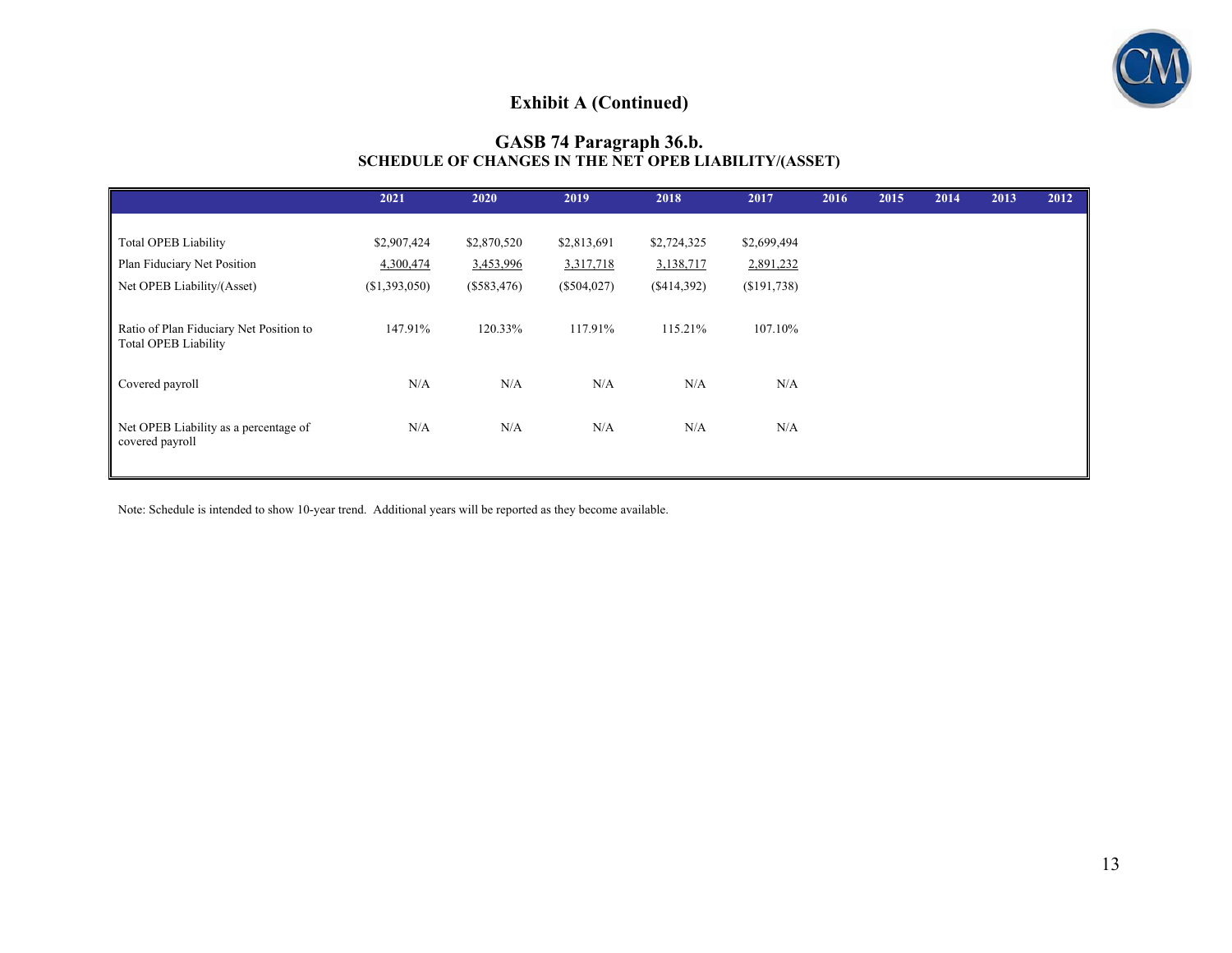

## **Exhibit A (Continued)**

#### **GASB 74 Paragraph 36.b. SCHEDULE OF CHANGES IN THE NET OPEB LIABILITY/(ASSET)**

|                                                          | 2021          | 2020          | 2019          | 2018        | 2017        | 2016 | 2015 | 2014 | 2013 | 2012 |
|----------------------------------------------------------|---------------|---------------|---------------|-------------|-------------|------|------|------|------|------|
|                                                          |               |               |               |             |             |      |      |      |      |      |
| <b>Total OPEB Liability</b>                              | \$2,907,424   | \$2,870,520   | \$2,813,691   | \$2,724,325 | \$2,699,494 |      |      |      |      |      |
| Plan Fiduciary Net Position                              | 4,300,474     | 3,453,996     | 3,317,718     | 3,138,717   | 2,891,232   |      |      |      |      |      |
| Net OPEB Liability/(Asset)                               | (\$1,393,050) | $(\$583,476)$ | $(\$504,027)$ | (\$414,392) | (\$191,738) |      |      |      |      |      |
|                                                          |               |               |               |             |             |      |      |      |      |      |
| Ratio of Plan Fiduciary Net Position to                  | 147.91%       | 120.33%       | 117.91%       | 115.21%     | 107.10%     |      |      |      |      |      |
| <b>Total OPEB Liability</b>                              |               |               |               |             |             |      |      |      |      |      |
|                                                          |               |               |               |             |             |      |      |      |      |      |
| Covered payroll                                          | N/A           | N/A           | N/A           | N/A         | N/A         |      |      |      |      |      |
|                                                          |               |               |               |             |             |      |      |      |      |      |
| Net OPEB Liability as a percentage of<br>covered payroll | N/A           | N/A           | N/A           | N/A         | N/A         |      |      |      |      |      |
|                                                          |               |               |               |             |             |      |      |      |      |      |
|                                                          |               |               |               |             |             |      |      |      |      |      |

Note: Schedule is intended to show 10-year trend. Additional years will be reported as they become available.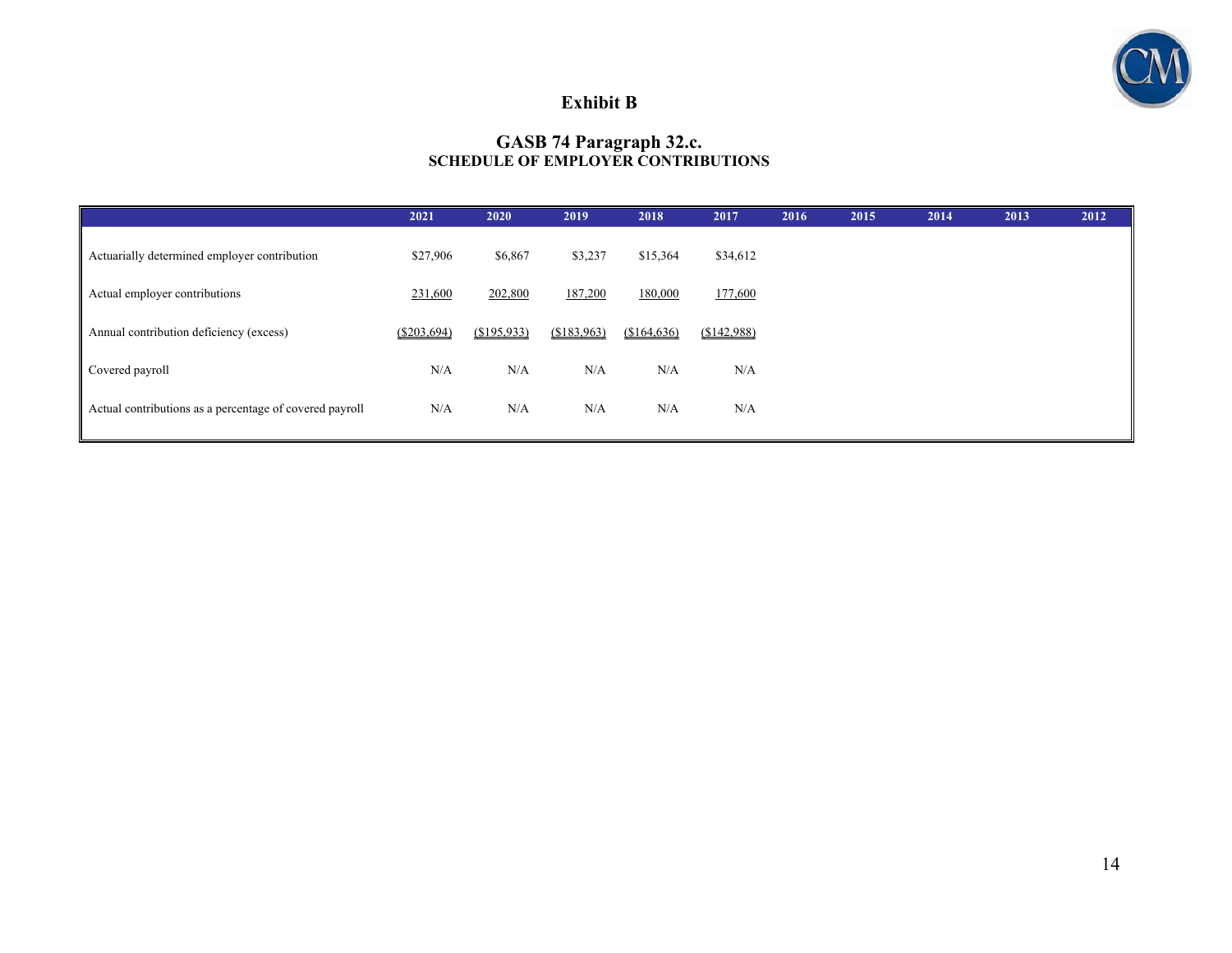

#### **Exhibit B**

#### **GASB 74 Paragraph 32.c. SCHEDULE OF EMPLOYER CONTRIBUTIONS**

|                                                         | 2021        | 2020        | 2019        | 2018        | 2017        | 2016 | 2015 | 2014 | 2013 | 2012 |
|---------------------------------------------------------|-------------|-------------|-------------|-------------|-------------|------|------|------|------|------|
| Actuarially determined employer contribution            | \$27,906    | \$6,867     | \$3,237     | \$15,364    | \$34,612    |      |      |      |      |      |
| Actual employer contributions                           | 231,600     | 202,800     | 187,200     | 180,000     | 177,600     |      |      |      |      |      |
| Annual contribution deficiency (excess)                 | (S203, 694) | (\$195,933) | (\$183,963) | (\$164,636) | (\$142,988) |      |      |      |      |      |
| Covered payroll                                         | N/A         | N/A         | N/A         | N/A         | N/A         |      |      |      |      |      |
| Actual contributions as a percentage of covered payroll | N/A         | N/A         | N/A         | N/A         | N/A         |      |      |      |      |      |
|                                                         |             |             |             |             |             |      |      |      |      |      |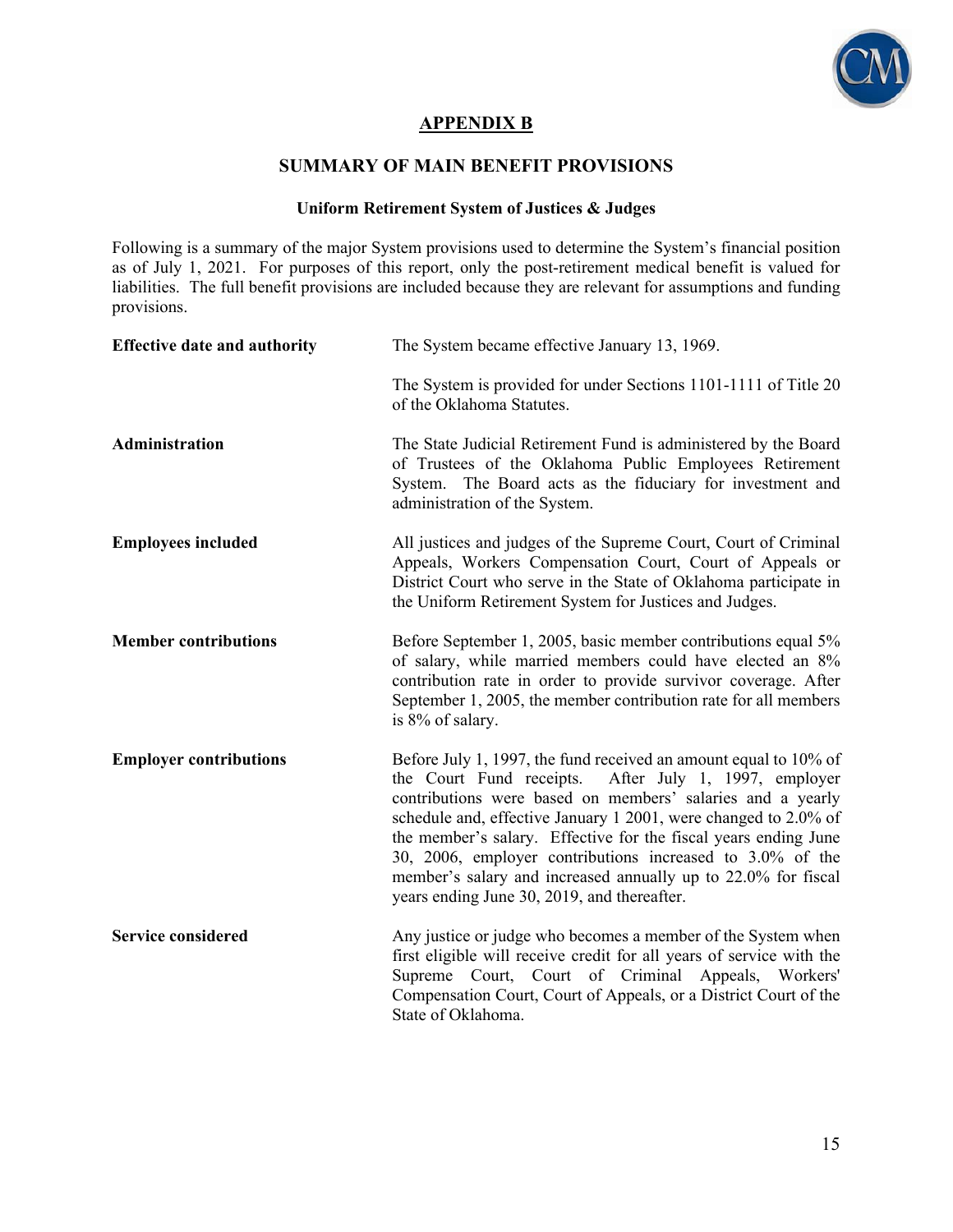

#### **APPENDIX B**

#### **SUMMARY OF MAIN BENEFIT PROVISIONS**

#### **Uniform Retirement System of Justices & Judges**

Following is a summary of the major System provisions used to determine the System's financial position as of July 1, 2021. For purposes of this report, only the post-retirement medical benefit is valued for liabilities. The full benefit provisions are included because they are relevant for assumptions and funding provisions.

| <b>Effective date and authority</b> | The System became effective January 13, 1969.                                                                                                                                                                                                                                                                                                                                                                                                                                                                 |  |
|-------------------------------------|---------------------------------------------------------------------------------------------------------------------------------------------------------------------------------------------------------------------------------------------------------------------------------------------------------------------------------------------------------------------------------------------------------------------------------------------------------------------------------------------------------------|--|
|                                     | The System is provided for under Sections 1101-1111 of Title 20<br>of the Oklahoma Statutes.                                                                                                                                                                                                                                                                                                                                                                                                                  |  |
| Administration                      | The State Judicial Retirement Fund is administered by the Board<br>of Trustees of the Oklahoma Public Employees Retirement<br>The Board acts as the fiduciary for investment and<br>System.<br>administration of the System.                                                                                                                                                                                                                                                                                  |  |
| <b>Employees included</b>           | All justices and judges of the Supreme Court, Court of Criminal<br>Appeals, Workers Compensation Court, Court of Appeals or<br>District Court who serve in the State of Oklahoma participate in<br>the Uniform Retirement System for Justices and Judges.                                                                                                                                                                                                                                                     |  |
| <b>Member contributions</b>         | Before September 1, 2005, basic member contributions equal 5%<br>of salary, while married members could have elected an 8%<br>contribution rate in order to provide survivor coverage. After<br>September 1, 2005, the member contribution rate for all members<br>is 8% of salary.                                                                                                                                                                                                                           |  |
| <b>Employer contributions</b>       | Before July 1, 1997, the fund received an amount equal to 10% of<br>the Court Fund receipts.<br>After July 1, 1997, employer<br>contributions were based on members' salaries and a yearly<br>schedule and, effective January 1 2001, were changed to 2.0% of<br>the member's salary. Effective for the fiscal years ending June<br>30, 2006, employer contributions increased to 3.0% of the<br>member's salary and increased annually up to 22.0% for fiscal<br>years ending June 30, 2019, and thereafter. |  |
| <b>Service considered</b>           | Any justice or judge who becomes a member of the System when<br>first eligible will receive credit for all years of service with the<br>Supreme Court, Court of Criminal Appeals, Workers'<br>Compensation Court, Court of Appeals, or a District Court of the<br>State of Oklahoma.                                                                                                                                                                                                                          |  |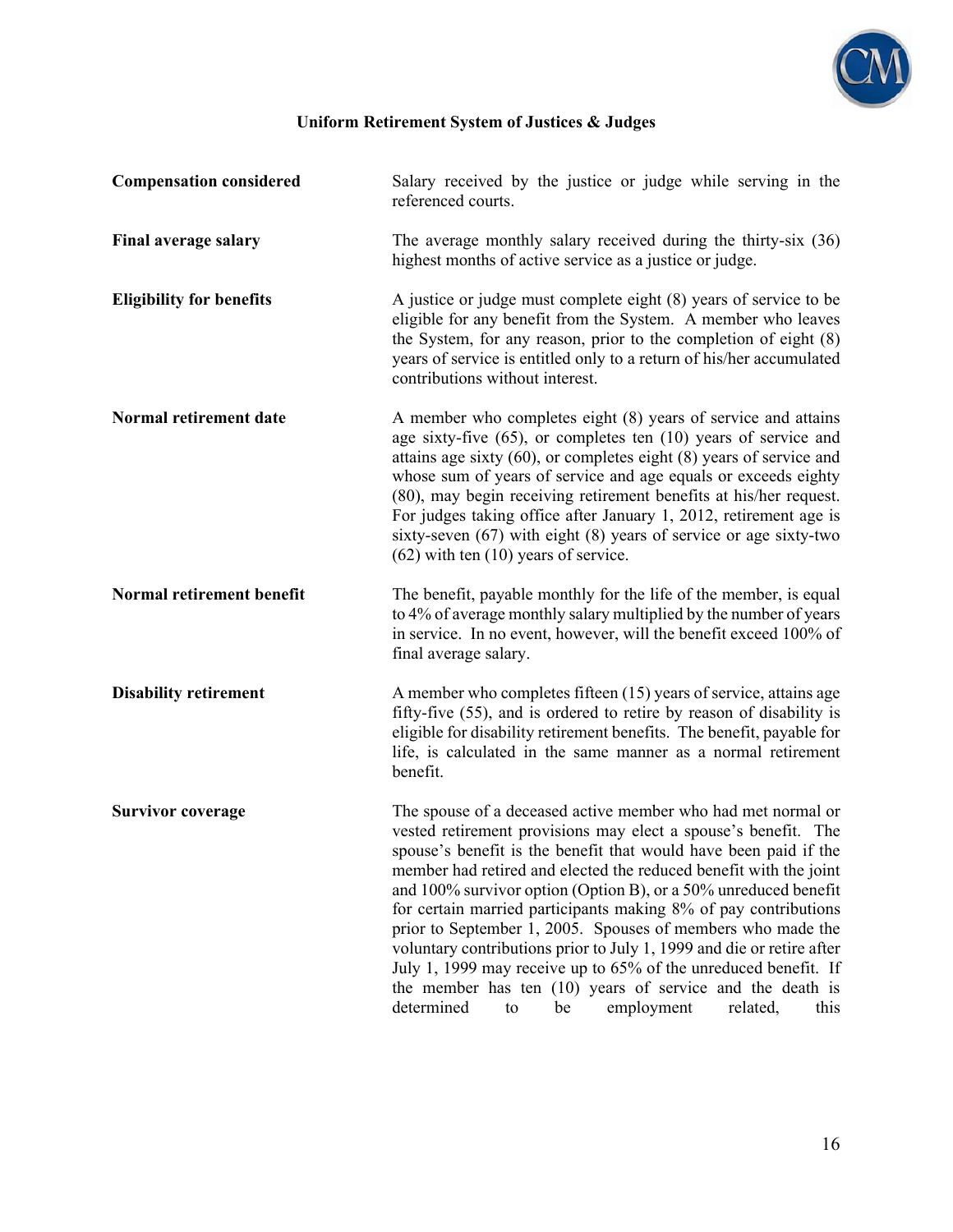

| <b>Compensation considered</b>  | Salary received by the justice or judge while serving in the<br>referenced courts.                                                                                                                                                                                                                                                                                                                                                                                                                                                                                                                                                                                                                                                                  |
|---------------------------------|-----------------------------------------------------------------------------------------------------------------------------------------------------------------------------------------------------------------------------------------------------------------------------------------------------------------------------------------------------------------------------------------------------------------------------------------------------------------------------------------------------------------------------------------------------------------------------------------------------------------------------------------------------------------------------------------------------------------------------------------------------|
| <b>Final average salary</b>     | The average monthly salary received during the thirty-six $(36)$<br>highest months of active service as a justice or judge.                                                                                                                                                                                                                                                                                                                                                                                                                                                                                                                                                                                                                         |
| <b>Eligibility for benefits</b> | A justice or judge must complete eight (8) years of service to be<br>eligible for any benefit from the System. A member who leaves<br>the System, for any reason, prior to the completion of eight $(8)$<br>years of service is entitled only to a return of his/her accumulated<br>contributions without interest.                                                                                                                                                                                                                                                                                                                                                                                                                                 |
| Normal retirement date          | A member who completes eight (8) years of service and attains<br>age sixty-five (65), or completes ten (10) years of service and<br>attains age sixty $(60)$ , or completes eight $(8)$ years of service and<br>whose sum of years of service and age equals or exceeds eighty<br>(80), may begin receiving retirement benefits at his/her request.<br>For judges taking office after January 1, 2012, retirement age is<br>sixty-seven $(67)$ with eight $(8)$ years of service or age sixty-two<br>$(62)$ with ten $(10)$ years of service.                                                                                                                                                                                                       |
| Normal retirement benefit       | The benefit, payable monthly for the life of the member, is equal<br>to 4% of average monthly salary multiplied by the number of years<br>in service. In no event, however, will the benefit exceed 100% of<br>final average salary.                                                                                                                                                                                                                                                                                                                                                                                                                                                                                                                |
| <b>Disability retirement</b>    | A member who completes fifteen (15) years of service, attains age<br>fifty-five (55), and is ordered to retire by reason of disability is<br>eligible for disability retirement benefits. The benefit, payable for<br>life, is calculated in the same manner as a normal retirement<br>benefit.                                                                                                                                                                                                                                                                                                                                                                                                                                                     |
| <b>Survivor coverage</b>        | The spouse of a deceased active member who had met normal or<br>vested retirement provisions may elect a spouse's benefit. The<br>spouse's benefit is the benefit that would have been paid if the<br>member had retired and elected the reduced benefit with the joint<br>and 100% survivor option (Option B), or a 50% unreduced benefit<br>for certain married participants making 8% of pay contributions<br>prior to September 1, 2005. Spouses of members who made the<br>voluntary contributions prior to July 1, 1999 and die or retire after<br>July 1, 1999 may receive up to 65% of the unreduced benefit. If<br>the member has ten $(10)$ years of service and the death is<br>determined<br>employment<br>related,<br>be<br>this<br>to |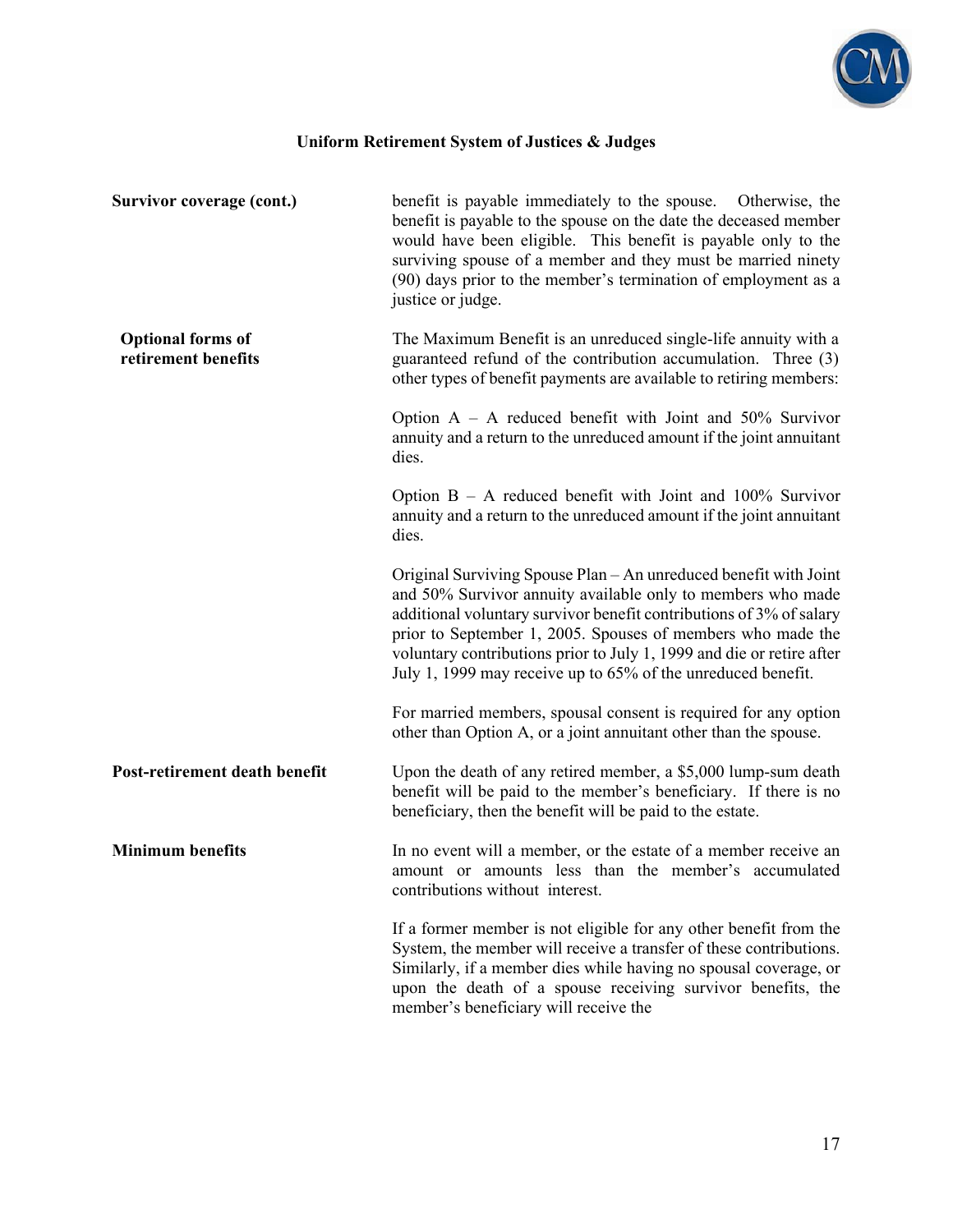

| Survivor coverage (cont.)                       | benefit is payable immediately to the spouse. Otherwise, the<br>benefit is payable to the spouse on the date the deceased member<br>would have been eligible. This benefit is payable only to the<br>surviving spouse of a member and they must be married ninety<br>(90) days prior to the member's termination of employment as a<br>justice or judge.                                                       |
|-------------------------------------------------|----------------------------------------------------------------------------------------------------------------------------------------------------------------------------------------------------------------------------------------------------------------------------------------------------------------------------------------------------------------------------------------------------------------|
| <b>Optional forms of</b><br>retirement benefits | The Maximum Benefit is an unreduced single-life annuity with a<br>guaranteed refund of the contribution accumulation. Three (3)<br>other types of benefit payments are available to retiring members:                                                                                                                                                                                                          |
|                                                 | Option $A - A$ reduced benefit with Joint and 50% Survivor<br>annuity and a return to the unreduced amount if the joint annuitant<br>dies.                                                                                                                                                                                                                                                                     |
|                                                 | Option $B - A$ reduced benefit with Joint and 100% Survivor<br>annuity and a return to the unreduced amount if the joint annuitant<br>dies.                                                                                                                                                                                                                                                                    |
|                                                 | Original Surviving Spouse Plan - An unreduced benefit with Joint<br>and 50% Survivor annuity available only to members who made<br>additional voluntary survivor benefit contributions of 3% of salary<br>prior to September 1, 2005. Spouses of members who made the<br>voluntary contributions prior to July 1, 1999 and die or retire after<br>July 1, 1999 may receive up to 65% of the unreduced benefit. |
|                                                 | For married members, spousal consent is required for any option<br>other than Option A, or a joint annuitant other than the spouse.                                                                                                                                                                                                                                                                            |
| Post-retirement death benefit                   | Upon the death of any retired member, a \$5,000 lump-sum death<br>benefit will be paid to the member's beneficiary. If there is no<br>beneficiary, then the benefit will be paid to the estate.                                                                                                                                                                                                                |
| <b>Minimum benefits</b>                         | In no event will a member, or the estate of a member receive an<br>amount or amounts less than the member's accumulated<br>contributions without interest.                                                                                                                                                                                                                                                     |
|                                                 | If a former member is not eligible for any other benefit from the<br>System, the member will receive a transfer of these contributions.<br>Similarly, if a member dies while having no spousal coverage, or<br>upon the death of a spouse receiving survivor benefits, the<br>member's beneficiary will receive the                                                                                            |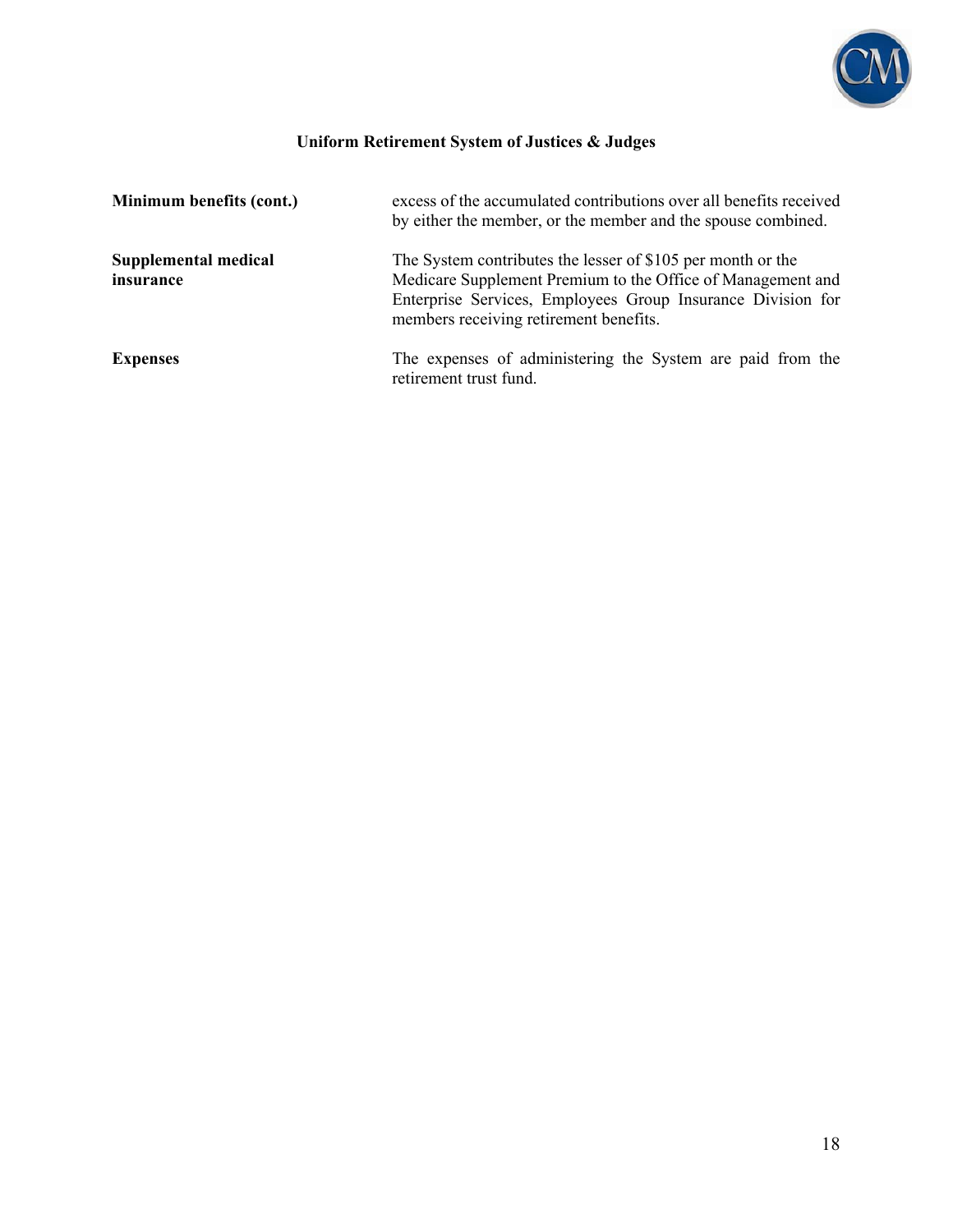

| Minimum benefits (cont.)          | excess of the accumulated contributions over all benefits received<br>by either the member, or the member and the spouse combined.                                                                                                  |
|-----------------------------------|-------------------------------------------------------------------------------------------------------------------------------------------------------------------------------------------------------------------------------------|
| Supplemental medical<br>insurance | The System contributes the lesser of \$105 per month or the<br>Medicare Supplement Premium to the Office of Management and<br>Enterprise Services, Employees Group Insurance Division for<br>members receiving retirement benefits. |
| <b>Expenses</b>                   | The expenses of administering the System are paid from the<br>retirement trust fund.                                                                                                                                                |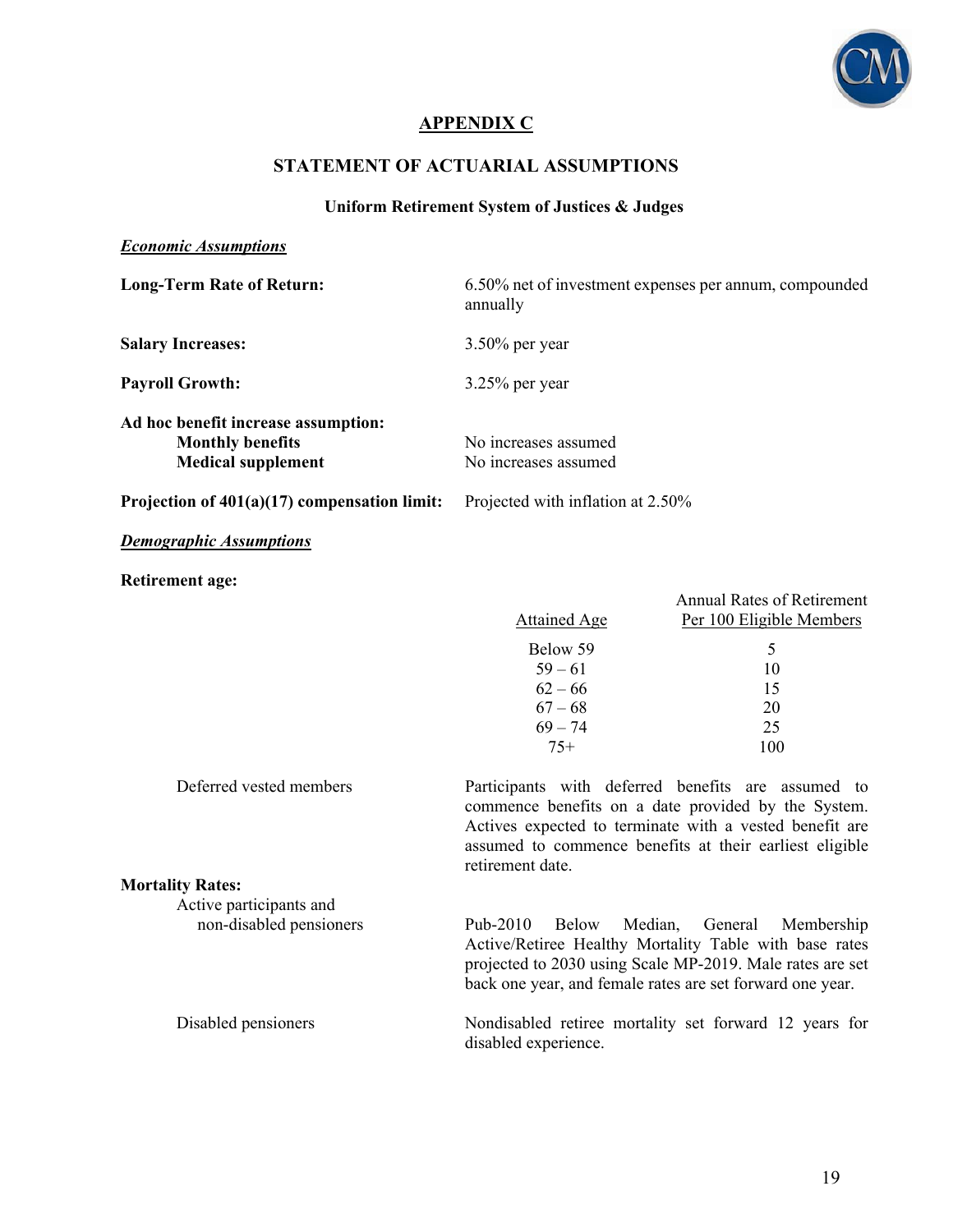

#### **APPENDIX C**

#### **STATEMENT OF ACTUARIAL ASSUMPTIONS**

#### **Uniform Retirement System of Justices & Judges**

#### *Economic Assumptions*

| <b>Long-Term Rate of Return:</b>                                                            | 6.50% net of investment expenses per annum, compounded<br>annually                                                                                                                                                                                  |                                                                                                   |  |  |  |
|---------------------------------------------------------------------------------------------|-----------------------------------------------------------------------------------------------------------------------------------------------------------------------------------------------------------------------------------------------------|---------------------------------------------------------------------------------------------------|--|--|--|
| <b>Salary Increases:</b>                                                                    | $3.50\%$ per year                                                                                                                                                                                                                                   |                                                                                                   |  |  |  |
| <b>Payroll Growth:</b>                                                                      | $3.25%$ per year                                                                                                                                                                                                                                    |                                                                                                   |  |  |  |
| Ad hoc benefit increase assumption:<br><b>Monthly benefits</b><br><b>Medical supplement</b> | No increases assumed<br>No increases assumed                                                                                                                                                                                                        |                                                                                                   |  |  |  |
| Projection of $401(a)(17)$ compensation limit:                                              | Projected with inflation at 2.50%                                                                                                                                                                                                                   |                                                                                                   |  |  |  |
| <b>Demographic Assumptions</b>                                                              |                                                                                                                                                                                                                                                     |                                                                                                   |  |  |  |
| <b>Retirement age:</b>                                                                      | <b>Attained Age</b><br>Below 59<br>$59 - 61$<br>$62 - 66$<br>$67 - 68$<br>$69 - 74$<br>$75+$                                                                                                                                                        | <b>Annual Rates of Retirement</b><br>Per 100 Eligible Members<br>5<br>10<br>15<br>20<br>25<br>100 |  |  |  |
| Deferred vested members                                                                     | Participants with deferred benefits are assumed to<br>commence benefits on a date provided by the System.<br>Actives expected to terminate with a vested benefit are<br>assumed to commence benefits at their earliest eligible<br>retirement date. |                                                                                                   |  |  |  |
| <b>Mortality Rates:</b>                                                                     |                                                                                                                                                                                                                                                     |                                                                                                   |  |  |  |
| Active participants and                                                                     |                                                                                                                                                                                                                                                     |                                                                                                   |  |  |  |
| non-disabled pensioners                                                                     | Pub-2010<br>Below<br>Median,<br>Active/Retiree Healthy Mortality Table with base rates<br>projected to 2030 using Scale MP-2019. Male rates are set<br>back one year, and female rates are set forward one year.                                    | General<br>Membership                                                                             |  |  |  |

Disabled pensioners Nondisabled retiree mortality set forward 12 years for disabled experience.